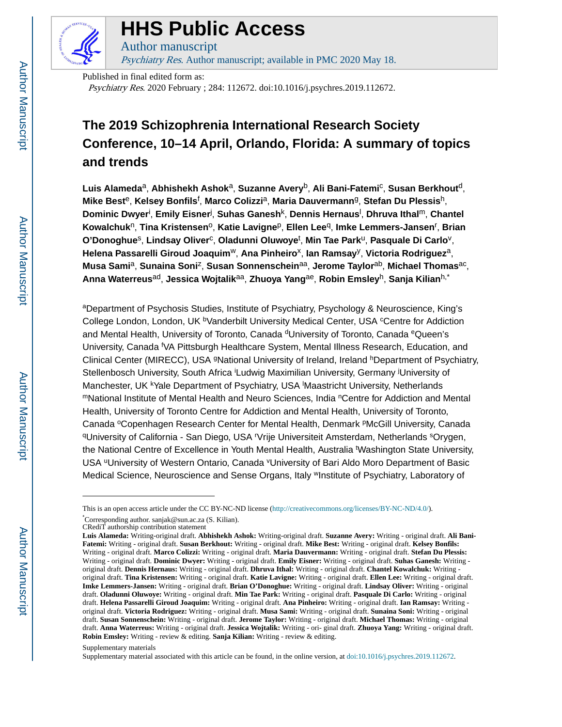

# **HHS Public Access**

Author manuscript Psychiatry Res. Author manuscript; available in PMC 2020 May 18.

Published in final edited form as: Psychiatry Res. 2020 February ; 284: 112672. doi:10.1016/j.psychres.2019.112672.

## **The 2019 Schizophrenia International Research Society Conference, 10–14 April, Orlando, Florida: A summary of topics and trends**

**Luis Alameda**a, **Abhishekh Ashok**a, **Suzanne Avery**b, **Ali Bani-Fatemi**<sup>c</sup> , **Susan Berkhout**d, **Mike Best**e, **Kelsey Bonfils**<sup>f</sup> , **Marco Colizzi**a, **Maria Dauvermann**g, **Stefan Du Plessis**h, **Dominic Dwyer**<sup>i</sup> , **Emily Eisner**<sup>j</sup> , **Suhas Ganesh**<sup>k</sup> , **Dennis Hernaus**<sup>l</sup> , **Dhruva Ithal**m, **Chantel**   $K$ owalchuk<sup>n</sup>, Tina Kristensen<sup>o</sup>, Katie Lavigne<sup>p</sup>, Ellen Lee<sup>q</sup>, Imke Lemmers-Jansen<sup>r</sup>, Brian O'Donoghue<sup>s</sup>, Lindsay Oliver<sup>c</sup>, Oladunni Oluwoye<sup>t</sup>, Min Tae Park<sup>u</sup>, Pasquale Di Carlo<sup>v</sup>, **Helena Passarelli Giroud Joaquim**w, **Ana Pinheiro**<sup>x</sup> , **Ian Ramsay**<sup>y</sup> , **Victoria Rodriguez**a, Musa Sami<sup>a</sup>, Sunaina Soni<sup>z</sup>, Susan Sonnenschein<sup>aa</sup>, Jerome Taylor<sup>ab</sup>, Michael Thomas<sup>ac</sup>, **Anna Waterreus**ad, **Jessica Wojtalik**aa, **Zhuoya Yang**ae, **Robin Emsley**h, **Sanja Kilian**h,\*

<sup>a</sup>Department of Psychosis Studies, Institute of Psychiatry, Psychology & Neuroscience, King's College London, London, UK <sup>b</sup>Vanderbilt University Medical Center, USA <sup>c</sup>Centre for Addiction and Mental Health, University of Toronto, Canada <sup>d</sup>University of Toronto, Canada <sup>e</sup>Queen's University, Canada <sup>f</sup>VA Pittsburgh Healthcare System, Mental Illness Research, Education, and Clinical Center (MIRECC), USA <sup>g</sup>National University of Ireland, Ireland <sup>h</sup>Department of Psychiatry, Stellenbosch University, South Africa Ludwig Maximilian University, Germany University of Manchester, UK <sup>k</sup>Yale Department of Psychiatry, USA Maastricht University, Netherlands mNational Institute of Mental Health and Neuro Sciences, India nCentre for Addiction and Mental Health, University of Toronto Centre for Addiction and Mental Health, University of Toronto, Canada <sup>o</sup>Copenhagen Research Center for Mental Health, Denmark PMcGill University, Canada qUniversity of California - San Diego, USA <sup>r</sup>Vrije Universiteit Amsterdam, Netherlands <sup>s</sup>Orygen, the National Centre of Excellence in Youth Mental Health, Australia <sup>t</sup>Washington State University, USA "University of Western Ontario, Canada "University of Bari Aldo Moro Department of Basic Medical Science, Neuroscience and Sense Organs, Italy WInstitute of Psychiatry, Laboratory of

This is an open access article under the CC BY-NC-ND license (<http://creativecommons.org/licenses/BY-NC-ND/4.0/>).

<sup>\*</sup>Corresponding author. sanjak@sun.ac.za (S. Kilian).

CRediT authorship contribution statement

**Luis Alameda:** Writing-original draft. **Abhishekh Ashok:** Writing-original draft. **Suzanne Avery:** Writing - original draft. **Ali Bani-Fatemi:** Writing - original draft. **Susan Berkhout:** Writing - original draft. **Mike Best:** Writing - original draft. **Kelsey Bonfils:**  Writing - original draft. **Marco Colizzi:** Writing - original draft. **Maria Dauvermann:** Writing - original draft. **Stefan Du Plessis:**  Writing - original draft. **Dominic Dwyer:** Writing - original draft. **Emily Eisner:** Writing - original draft. **Suhas Ganesh:** Writing original draft. **Dennis Hernaus:** Writing - original draft. **Dhruva Ithal:** Writing - original draft. **Chantel Kowalchuk:** Writing original draft. **Tina Kristensen:** Writing - original draft. **Katie Lavigne:** Writing - original draft. **Ellen Lee:** Writing - original draft. **Imke Lemmers-Jansen:** Writing - original draft. **Brian O'Donoghue:** Writing - original draft. **Lindsay Oliver:** Writing - original draft. **Oladunni Oluwoye:** Writing - original draft. **Min Tae Park:** Writing - original draft. **Pasquale Di Carlo:** Writing - original draft. **Helena Passarelli Giroud Joaquim:** Writing - original draft. **Ana Pinheiro:** Writing - original draft. **Ian Ramsay:** Writing original draft. **Victoria Rodriguez:** Writing - original draft. **Musa Sami:** Writing - original draft. **Sunaina Soni:** Writing - original draft. **Susan Sonnenschein:** Writing - original draft. **Jerome Taylor:** Writing - original draft. **Michael Thomas:** Writing - original draft. **Anna Waterreus:** Writing - original draft. **Jessica Wojtalik:** Writing - ori- ginal draft. **Zhuoya Yang:** Writing - original draft. **Robin Emsley:** Writing - review & editing. **Sanja Kilian:** Writing - review & editing.

Supplementary materials

Supplementary material associated with this article can be found, in the online version, at [doi:10.1016/j.psychres.2019.112672.](https://doi.org/10.1016/j.psychres.2019.112672)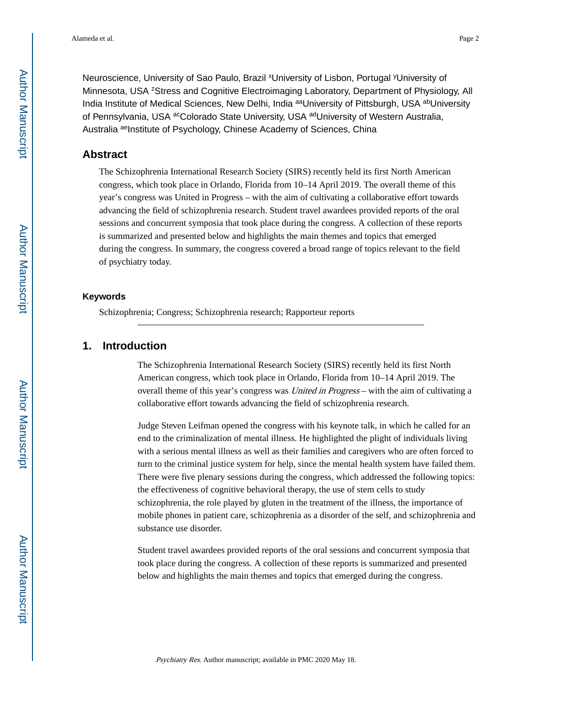Neuroscience, University of Sao Paulo, Brazil <sup>x</sup>University of Lisbon, Portugal <sup>y</sup>University of Minnesota, USA <sup>z</sup>Stress and Cognitive Electroimaging Laboratory, Department of Physiology, All India Institute of Medical Sciences, New Delhi, India aaUniversity of Pittsburgh, USA abUniversity of Pennsylvania, USA <sup>ac</sup>Colorado State University, USA <sup>ad</sup>University of Western Australia, Australia aeInstitute of Psychology, Chinese Academy of Sciences, China

#### **Abstract**

The Schizophrenia International Research Society (SIRS) recently held its first North American congress, which took place in Orlando, Florida from 10–14 April 2019. The overall theme of this year's congress was United in Progress – with the aim of cultivating a collaborative effort towards advancing the field of schizophrenia research. Student travel awardees provided reports of the oral sessions and concurrent symposia that took place during the congress. A collection of these reports is summarized and presented below and highlights the main themes and topics that emerged during the congress. In summary, the congress covered a broad range of topics relevant to the field of psychiatry today.

#### **Keywords**

Schizophrenia; Congress; Schizophrenia research; Rapporteur reports

#### **1. Introduction**

The Schizophrenia International Research Society (SIRS) recently held its first North American congress, which took place in Orlando, Florida from 10–14 April 2019. The overall theme of this year's congress was United in Progress – with the aim of cultivating a collaborative effort towards advancing the field of schizophrenia research.

Judge Steven Leifman opened the congress with his keynote talk, in which he called for an end to the criminalization of mental illness. He highlighted the plight of individuals living with a serious mental illness as well as their families and caregivers who are often forced to turn to the criminal justice system for help, since the mental health system have failed them. There were five plenary sessions during the congress, which addressed the following topics: the effectiveness of cognitive behavioral therapy, the use of stem cells to study schizophrenia, the role played by gluten in the treatment of the illness, the importance of mobile phones in patient care, schizophrenia as a disorder of the self, and schizophrenia and substance use disorder.

Student travel awardees provided reports of the oral sessions and concurrent symposia that took place during the congress. A collection of these reports is summarized and presented below and highlights the main themes and topics that emerged during the congress.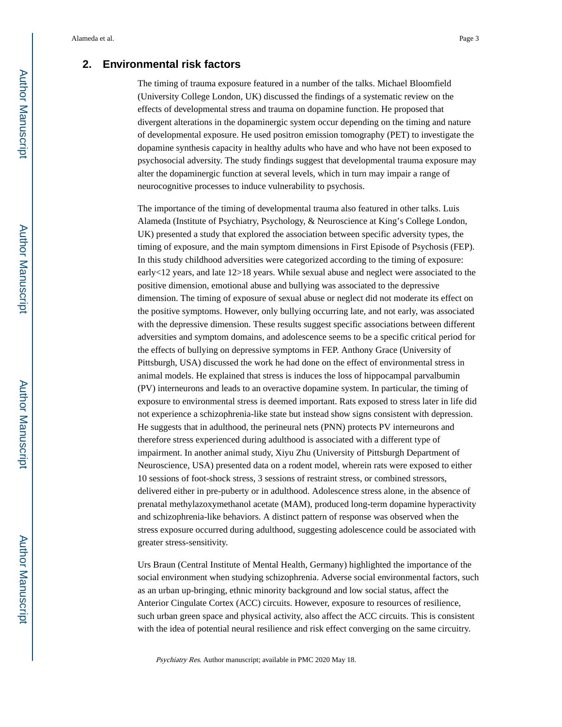#### **2. Environmental risk factors**

The timing of trauma exposure featured in a number of the talks. Michael Bloomfield (University College London, UK) discussed the findings of a systematic review on the effects of developmental stress and trauma on dopamine function. He proposed that divergent alterations in the dopaminergic system occur depending on the timing and nature of developmental exposure. He used positron emission tomography (PET) to investigate the dopamine synthesis capacity in healthy adults who have and who have not been exposed to psychosocial adversity. The study findings suggest that developmental trauma exposure may alter the dopaminergic function at several levels, which in turn may impair a range of neurocognitive processes to induce vulnerability to psychosis.

The importance of the timing of developmental trauma also featured in other talks. Luis Alameda (Institute of Psychiatry, Psychology, & Neuroscience at King's College London, UK) presented a study that explored the association between specific adversity types, the timing of exposure, and the main symptom dimensions in First Episode of Psychosis (FEP). In this study childhood adversities were categorized according to the timing of exposure: early<12 years, and late 12>18 years. While sexual abuse and neglect were associated to the positive dimension, emotional abuse and bullying was associated to the depressive dimension. The timing of exposure of sexual abuse or neglect did not moderate its effect on the positive symptoms. However, only bullying occurring late, and not early, was associated with the depressive dimension. These results suggest specific associations between different adversities and symptom domains, and adolescence seems to be a specific critical period for the effects of bullying on depressive symptoms in FEP. Anthony Grace (University of Pittsburgh, USA) discussed the work he had done on the effect of environmental stress in animal models. He explained that stress is induces the loss of hippocampal parvalbumin (PV) interneurons and leads to an overactive dopamine system. In particular, the timing of exposure to environmental stress is deemed important. Rats exposed to stress later in life did not experience a schizophrenia-like state but instead show signs consistent with depression. He suggests that in adulthood, the perineural nets (PNN) protects PV interneurons and therefore stress experienced during adulthood is associated with a different type of impairment. In another animal study, Xiyu Zhu (University of Pittsburgh Department of Neuroscience, USA) presented data on a rodent model, wherein rats were exposed to either 10 sessions of foot-shock stress, 3 sessions of restraint stress, or combined stressors, delivered either in pre-puberty or in adulthood. Adolescence stress alone, in the absence of prenatal methylazoxymethanol acetate (MAM), produced long-term dopamine hyperactivity and schizophrenia-like behaviors. A distinct pattern of response was observed when the stress exposure occurred during adulthood, suggesting adolescence could be associated with greater stress-sensitivity.

Urs Braun (Central Institute of Mental Health, Germany) highlighted the importance of the social environment when studying schizophrenia. Adverse social environmental factors, such as an urban up-bringing, ethnic minority background and low social status, affect the Anterior Cingulate Cortex (ACC) circuits. However, exposure to resources of resilience, such urban green space and physical activity, also affect the ACC circuits. This is consistent with the idea of potential neural resilience and risk effect converging on the same circuitry.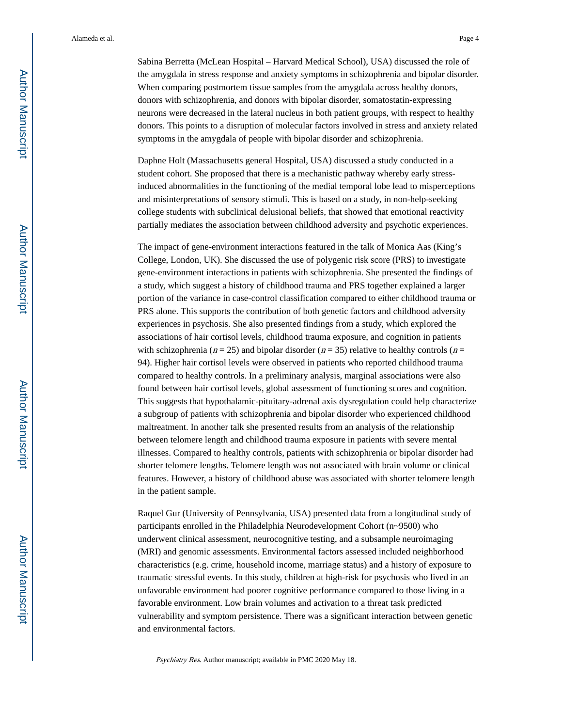Sabina Berretta (McLean Hospital – Harvard Medical School), USA) discussed the role of the amygdala in stress response and anxiety symptoms in schizophrenia and bipolar disorder. When comparing postmortem tissue samples from the amygdala across healthy donors, donors with schizophrenia, and donors with bipolar disorder, somatostatin-expressing neurons were decreased in the lateral nucleus in both patient groups, with respect to healthy donors. This points to a disruption of molecular factors involved in stress and anxiety related symptoms in the amygdala of people with bipolar disorder and schizophrenia.

Daphne Holt (Massachusetts general Hospital, USA) discussed a study conducted in a student cohort. She proposed that there is a mechanistic pathway whereby early stressinduced abnormalities in the functioning of the medial temporal lobe lead to misperceptions and misinterpretations of sensory stimuli. This is based on a study, in non-help-seeking college students with subclinical delusional beliefs, that showed that emotional reactivity partially mediates the association between childhood adversity and psychotic experiences.

The impact of gene-environment interactions featured in the talk of Monica Aas (King's College, London, UK). She discussed the use of polygenic risk score (PRS) to investigate gene-environment interactions in patients with schizophrenia. She presented the findings of a study, which suggest a history of childhood trauma and PRS together explained a larger portion of the variance in case-control classification compared to either childhood trauma or PRS alone. This supports the contribution of both genetic factors and childhood adversity experiences in psychosis. She also presented findings from a study, which explored the associations of hair cortisol levels, childhood trauma exposure, and cognition in patients with schizophrenia ( $n = 25$ ) and bipolar disorder ( $n = 35$ ) relative to healthy controls ( $n =$ 94). Higher hair cortisol levels were observed in patients who reported childhood trauma compared to healthy controls. In a preliminary analysis, marginal associations were also found between hair cortisol levels, global assessment of functioning scores and cognition. This suggests that hypothalamic-pituitary-adrenal axis dysregulation could help characterize a subgroup of patients with schizophrenia and bipolar disorder who experienced childhood maltreatment. In another talk she presented results from an analysis of the relationship between telomere length and childhood trauma exposure in patients with severe mental illnesses. Compared to healthy controls, patients with schizophrenia or bipolar disorder had shorter telomere lengths. Telomere length was not associated with brain volume or clinical features. However, a history of childhood abuse was associated with shorter telomere length in the patient sample.

Raquel Gur (University of Pennsylvania, USA) presented data from a longitudinal study of participants enrolled in the Philadelphia Neurodevelopment Cohort (n~9500) who underwent clinical assessment, neurocognitive testing, and a subsample neuroimaging (MRI) and genomic assessments. Environmental factors assessed included neighborhood characteristics (e.g. crime, household income, marriage status) and a history of exposure to traumatic stressful events. In this study, children at high-risk for psychosis who lived in an unfavorable environment had poorer cognitive performance compared to those living in a favorable environment. Low brain volumes and activation to a threat task predicted vulnerability and symptom persistence. There was a significant interaction between genetic and environmental factors.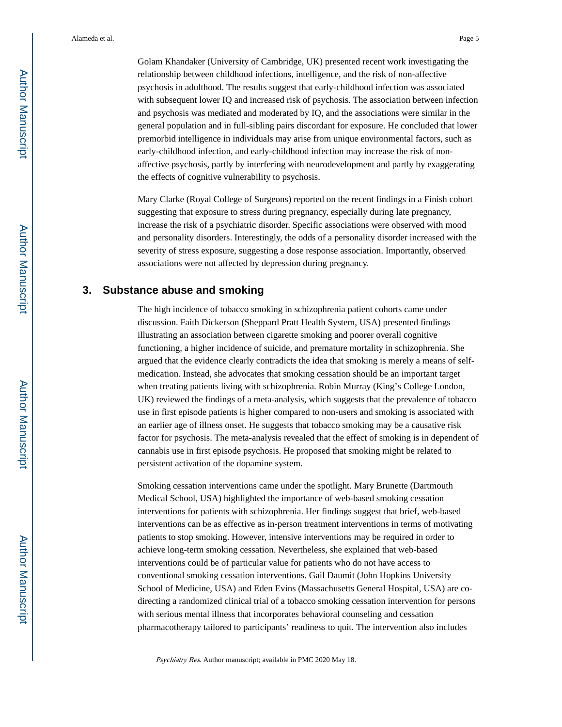Golam Khandaker (University of Cambridge, UK) presented recent work investigating the relationship between childhood infections, intelligence, and the risk of non-affective psychosis in adulthood. The results suggest that early-childhood infection was associated with subsequent lower IQ and increased risk of psychosis. The association between infection and psychosis was mediated and moderated by IQ, and the associations were similar in the general population and in full-sibling pairs discordant for exposure. He concluded that lower

premorbid intelligence in individuals may arise from unique environmental factors, such as early-childhood infection, and early-childhood infection may increase the risk of nonaffective psychosis, partly by interfering with neurodevelopment and partly by exaggerating the effects of cognitive vulnerability to psychosis.

Mary Clarke (Royal College of Surgeons) reported on the recent findings in a Finish cohort suggesting that exposure to stress during pregnancy, especially during late pregnancy, increase the risk of a psychiatric disorder. Specific associations were observed with mood and personality disorders. Interestingly, the odds of a personality disorder increased with the severity of stress exposure, suggesting a dose response association. Importantly, observed associations were not affected by depression during pregnancy.

#### **3. Substance abuse and smoking**

The high incidence of tobacco smoking in schizophrenia patient cohorts came under discussion. Faith Dickerson (Sheppard Pratt Health System, USA) presented findings illustrating an association between cigarette smoking and poorer overall cognitive functioning, a higher incidence of suicide, and premature mortality in schizophrenia. She argued that the evidence clearly contradicts the idea that smoking is merely a means of selfmedication. Instead, she advocates that smoking cessation should be an important target when treating patients living with schizophrenia. Robin Murray (King's College London, UK) reviewed the findings of a meta-analysis, which suggests that the prevalence of tobacco use in first episode patients is higher compared to non-users and smoking is associated with an earlier age of illness onset. He suggests that tobacco smoking may be a causative risk factor for psychosis. The meta-analysis revealed that the effect of smoking is in dependent of cannabis use in first episode psychosis. He proposed that smoking might be related to persistent activation of the dopamine system.

Smoking cessation interventions came under the spotlight. Mary Brunette (Dartmouth Medical School, USA) highlighted the importance of web-based smoking cessation interventions for patients with schizophrenia. Her findings suggest that brief, web-based interventions can be as effective as in-person treatment interventions in terms of motivating patients to stop smoking. However, intensive interventions may be required in order to achieve long-term smoking cessation. Nevertheless, she explained that web-based interventions could be of particular value for patients who do not have access to conventional smoking cessation interventions. Gail Daumit (John Hopkins University School of Medicine, USA) and Eden Evins (Massachusetts General Hospital, USA) are codirecting a randomized clinical trial of a tobacco smoking cessation intervention for persons with serious mental illness that incorporates behavioral counseling and cessation pharmacotherapy tailored to participants' readiness to quit. The intervention also includes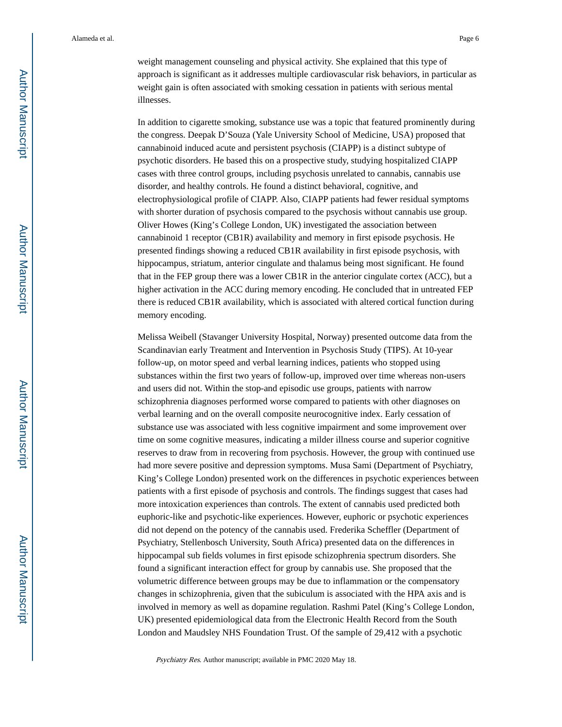weight management counseling and physical activity. She explained that this type of approach is significant as it addresses multiple cardiovascular risk behaviors, in particular as weight gain is often associated with smoking cessation in patients with serious mental illnesses.

In addition to cigarette smoking, substance use was a topic that featured prominently during the congress. Deepak D'Souza (Yale University School of Medicine, USA) proposed that cannabinoid induced acute and persistent psychosis (CIAPP) is a distinct subtype of psychotic disorders. He based this on a prospective study, studying hospitalized CIAPP cases with three control groups, including psychosis unrelated to cannabis, cannabis use disorder, and healthy controls. He found a distinct behavioral, cognitive, and electrophysiological profile of CIAPP. Also, CIAPP patients had fewer residual symptoms with shorter duration of psychosis compared to the psychosis without cannabis use group. Oliver Howes (King's College London, UK) investigated the association between cannabinoid 1 receptor (CB1R) availability and memory in first episode psychosis. He presented findings showing a reduced CB1R availability in first episode psychosis, with hippocampus, striatum, anterior cingulate and thalamus being most significant. He found that in the FEP group there was a lower CB1R in the anterior cingulate cortex (ACC), but a higher activation in the ACC during memory encoding. He concluded that in untreated FEP there is reduced CB1R availability, which is associated with altered cortical function during memory encoding.

Melissa Weibell (Stavanger University Hospital, Norway) presented outcome data from the Scandinavian early Treatment and Intervention in Psychosis Study (TIPS). At 10-year follow-up, on motor speed and verbal learning indices, patients who stopped using substances within the first two years of follow-up, improved over time whereas non-users and users did not. Within the stop-and episodic use groups, patients with narrow schizophrenia diagnoses performed worse compared to patients with other diagnoses on verbal learning and on the overall composite neurocognitive index. Early cessation of substance use was associated with less cognitive impairment and some improvement over time on some cognitive measures, indicating a milder illness course and superior cognitive reserves to draw from in recovering from psychosis. However, the group with continued use had more severe positive and depression symptoms. Musa Sami (Department of Psychiatry, King's College London) presented work on the differences in psychotic experiences between patients with a first episode of psychosis and controls. The findings suggest that cases had more intoxication experiences than controls. The extent of cannabis used predicted both euphoric-like and psychotic-like experiences. However, euphoric or psychotic experiences did not depend on the potency of the cannabis used. Frederika Scheffler (Department of Psychiatry, Stellenbosch University, South Africa) presented data on the differences in hippocampal sub fields volumes in first episode schizophrenia spectrum disorders. She found a significant interaction effect for group by cannabis use. She proposed that the volumetric difference between groups may be due to inflammation or the compensatory changes in schizophrenia, given that the subiculum is associated with the HPA axis and is involved in memory as well as dopamine regulation. Rashmi Patel (King's College London, UK) presented epidemiological data from the Electronic Health Record from the South London and Maudsley NHS Foundation Trust. Of the sample of 29,412 with a psychotic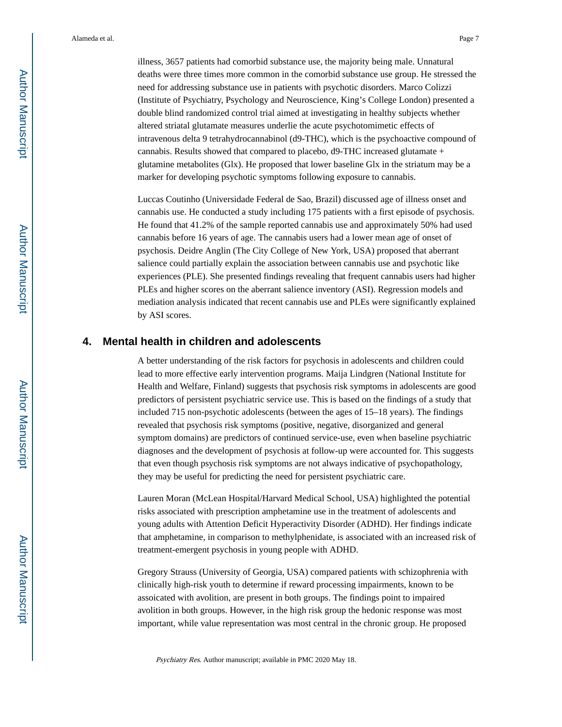illness, 3657 patients had comorbid substance use, the majority being male. Unnatural deaths were three times more common in the comorbid substance use group. He stressed the need for addressing substance use in patients with psychotic disorders. Marco Colizzi (Institute of Psychiatry, Psychology and Neuroscience, King's College London) presented a double blind randomized control trial aimed at investigating in healthy subjects whether altered striatal glutamate measures underlie the acute psychotomimetic effects of intravenous delta 9 tetrahydrocannabinol (d9-THC), which is the psychoactive compound of cannabis. Results showed that compared to placebo, d9-THC increased glutamate + glutamine metabolites (Glx). He proposed that lower baseline Glx in the striatum may be a marker for developing psychotic symptoms following exposure to cannabis.

Luccas Coutinho (Universidade Federal de Sao, Brazil) discussed age of illness onset and cannabis use. He conducted a study including 175 patients with a first episode of psychosis. He found that 41.2% of the sample reported cannabis use and approximately 50% had used cannabis before 16 years of age. The cannabis users had a lower mean age of onset of psychosis. Deidre Anglin (The City College of New York, USA) proposed that aberrant salience could partially explain the association between cannabis use and psychotic like experiences (PLE). She presented findings revealing that frequent cannabis users had higher PLEs and higher scores on the aberrant salience inventory (ASI). Regression models and mediation analysis indicated that recent cannabis use and PLEs were significantly explained by ASI scores.

#### **4. Mental health in children and adolescents**

A better understanding of the risk factors for psychosis in adolescents and children could lead to more effective early intervention programs. Maija Lindgren (National Institute for Health and Welfare, Finland) suggests that psychosis risk symptoms in adolescents are good predictors of persistent psychiatric service use. This is based on the findings of a study that included 715 non-psychotic adolescents (between the ages of 15–18 years). The findings revealed that psychosis risk symptoms (positive, negative, disorganized and general symptom domains) are predictors of continued service-use, even when baseline psychiatric diagnoses and the development of psychosis at follow-up were accounted for. This suggests that even though psychosis risk symptoms are not always indicative of psychopathology, they may be useful for predicting the need for persistent psychiatric care.

Lauren Moran (McLean Hospital/Harvard Medical School, USA) highlighted the potential risks associated with prescription amphetamine use in the treatment of adolescents and young adults with Attention Deficit Hyperactivity Disorder (ADHD). Her findings indicate that amphetamine, in comparison to methylphenidate, is associated with an increased risk of treatment-emergent psychosis in young people with ADHD.

Gregory Strauss (University of Georgia, USA) compared patients with schizophrenia with clinically high-risk youth to determine if reward processing impairments, known to be assoicated with avolition, are present in both groups. The findings point to impaired avolition in both groups. However, in the high risk group the hedonic response was most important, while value representation was most central in the chronic group. He proposed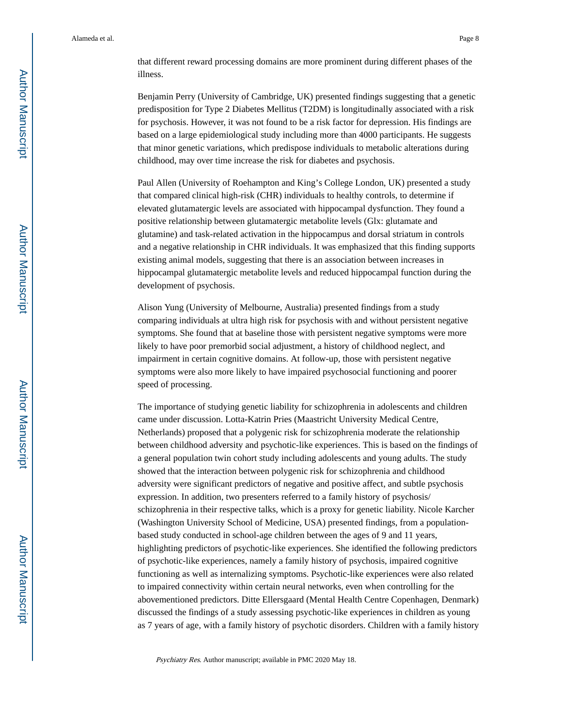that different reward processing domains are more prominent during different phases of the illness.

Benjamin Perry (University of Cambridge, UK) presented findings suggesting that a genetic predisposition for Type 2 Diabetes Mellitus (T2DM) is longitudinally associated with a risk for psychosis. However, it was not found to be a risk factor for depression. His findings are based on a large epidemiological study including more than 4000 participants. He suggests that minor genetic variations, which predispose individuals to metabolic alterations during childhood, may over time increase the risk for diabetes and psychosis.

Paul Allen (University of Roehampton and King's College London, UK) presented a study that compared clinical high-risk (CHR) individuals to healthy controls, to determine if elevated glutamatergic levels are associated with hippocampal dysfunction. They found a positive relationship between glutamatergic metabolite levels (Glx: glutamate and glutamine) and task-related activation in the hippocampus and dorsal striatum in controls and a negative relationship in CHR individuals. It was emphasized that this finding supports existing animal models, suggesting that there is an association between increases in hippocampal glutamatergic metabolite levels and reduced hippocampal function during the development of psychosis.

Alison Yung (University of Melbourne, Australia) presented findings from a study comparing individuals at ultra high risk for psychosis with and without persistent negative symptoms. She found that at baseline those with persistent negative symptoms were more likely to have poor premorbid social adjustment, a history of childhood neglect, and impairment in certain cognitive domains. At follow-up, those with persistent negative symptoms were also more likely to have impaired psychosocial functioning and poorer speed of processing.

The importance of studying genetic liability for schizophrenia in adolescents and children came under discussion. Lotta-Katrin Pries (Maastricht University Medical Centre, Netherlands) proposed that a polygenic risk for schizophrenia moderate the relationship between childhood adversity and psychotic-like experiences. This is based on the findings of a general population twin cohort study including adolescents and young adults. The study showed that the interaction between polygenic risk for schizophrenia and childhood adversity were significant predictors of negative and positive affect, and subtle psychosis expression. In addition, two presenters referred to a family history of psychosis/ schizophrenia in their respective talks, which is a proxy for genetic liability. Nicole Karcher (Washington University School of Medicine, USA) presented findings, from a populationbased study conducted in school-age children between the ages of 9 and 11 years, highlighting predictors of psychotic-like experiences. She identified the following predictors of psychotic-like experiences, namely a family history of psychosis, impaired cognitive functioning as well as internalizing symptoms. Psychotic-like experiences were also related to impaired connectivity within certain neural networks, even when controlling for the abovementioned predictors. Ditte Ellersgaard (Mental Health Centre Copenhagen, Denmark) discussed the findings of a study assessing psychotic-like experiences in children as young as 7 years of age, with a family history of psychotic disorders. Children with a family history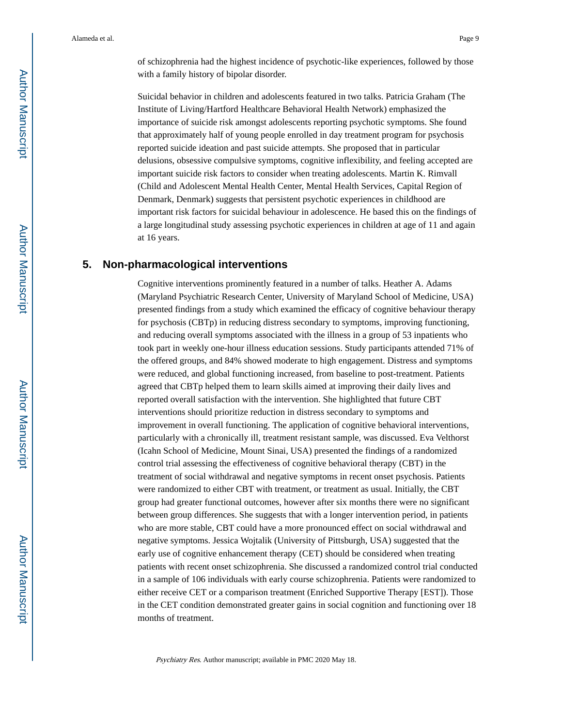Suicidal behavior in children and adolescents featured in two talks. Patricia Graham (The Institute of Living/Hartford Healthcare Behavioral Health Network) emphasized the importance of suicide risk amongst adolescents reporting psychotic symptoms. She found that approximately half of young people enrolled in day treatment program for psychosis reported suicide ideation and past suicide attempts. She proposed that in particular delusions, obsessive compulsive symptoms, cognitive inflexibility, and feeling accepted are important suicide risk factors to consider when treating adolescents. Martin K. Rimvall (Child and Adolescent Mental Health Center, Mental Health Services, Capital Region of Denmark, Denmark) suggests that persistent psychotic experiences in childhood are important risk factors for suicidal behaviour in adolescence. He based this on the findings of a large longitudinal study assessing psychotic experiences in children at age of 11 and again at 16 years.

#### **5. Non-pharmacological interventions**

Cognitive interventions prominently featured in a number of talks. Heather A. Adams (Maryland Psychiatric Research Center, University of Maryland School of Medicine, USA) presented findings from a study which examined the efficacy of cognitive behaviour therapy for psychosis (CBTp) in reducing distress secondary to symptoms, improving functioning, and reducing overall symptoms associated with the illness in a group of 53 inpatients who took part in weekly one-hour illness education sessions. Study participants attended 71% of the offered groups, and 84% showed moderate to high engagement. Distress and symptoms were reduced, and global functioning increased, from baseline to post-treatment. Patients agreed that CBTp helped them to learn skills aimed at improving their daily lives and reported overall satisfaction with the intervention. She highlighted that future CBT interventions should prioritize reduction in distress secondary to symptoms and improvement in overall functioning. The application of cognitive behavioral interventions, particularly with a chronically ill, treatment resistant sample, was discussed. Eva Velthorst (Icahn School of Medicine, Mount Sinai, USA) presented the findings of a randomized control trial assessing the effectiveness of cognitive behavioral therapy (CBT) in the treatment of social withdrawal and negative symptoms in recent onset psychosis. Patients were randomized to either CBT with treatment, or treatment as usual. Initially, the CBT group had greater functional outcomes, however after six months there were no significant between group differences. She suggests that with a longer intervention period, in patients who are more stable, CBT could have a more pronounced effect on social withdrawal and negative symptoms. Jessica Wojtalik (University of Pittsburgh, USA) suggested that the early use of cognitive enhancement therapy (CET) should be considered when treating patients with recent onset schizophrenia. She discussed a randomized control trial conducted in a sample of 106 individuals with early course schizophrenia. Patients were randomized to either receive CET or a comparison treatment (Enriched Supportive Therapy [EST]). Those in the CET condition demonstrated greater gains in social cognition and functioning over 18 months of treatment.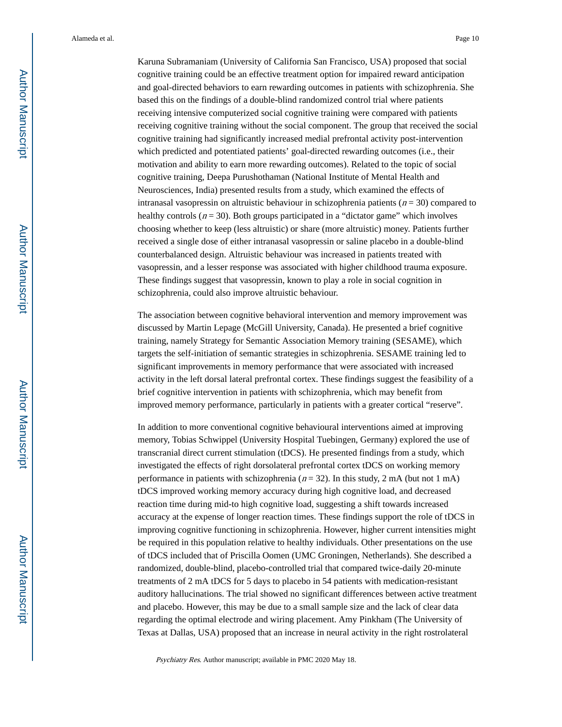Karuna Subramaniam (University of California San Francisco, USA) proposed that social cognitive training could be an effective treatment option for impaired reward anticipation and goal-directed behaviors to earn rewarding outcomes in patients with schizophrenia. She based this on the findings of a double-blind randomized control trial where patients receiving intensive computerized social cognitive training were compared with patients receiving cognitive training without the social component. The group that received the social cognitive training had significantly increased medial prefrontal activity post-intervention which predicted and potentiated patients' goal-directed rewarding outcomes (i.e., their motivation and ability to earn more rewarding outcomes). Related to the topic of social cognitive training, Deepa Purushothaman (National Institute of Mental Health and Neurosciences, India) presented results from a study, which examined the effects of intranasal vasopressin on altruistic behaviour in schizophrenia patients ( $n = 30$ ) compared to healthy controls ( $n = 30$ ). Both groups participated in a "dictator game" which involves choosing whether to keep (less altruistic) or share (more altruistic) money. Patients further received a single dose of either intranasal vasopressin or saline placebo in a double-blind counterbalanced design. Altruistic behaviour was increased in patients treated with vasopressin, and a lesser response was associated with higher childhood trauma exposure. These findings suggest that vasopressin, known to play a role in social cognition in schizophrenia, could also improve altruistic behaviour.

The association between cognitive behavioral intervention and memory improvement was discussed by Martin Lepage (McGill University, Canada). He presented a brief cognitive training, namely Strategy for Semantic Association Memory training (SESAME), which targets the self-initiation of semantic strategies in schizophrenia. SESAME training led to significant improvements in memory performance that were associated with increased activity in the left dorsal lateral prefrontal cortex. These findings suggest the feasibility of a brief cognitive intervention in patients with schizophrenia, which may benefit from improved memory performance, particularly in patients with a greater cortical "reserve".

In addition to more conventional cognitive behavioural interventions aimed at improving memory, Tobias Schwippel (University Hospital Tuebingen, Germany) explored the use of transcranial direct current stimulation (tDCS). He presented findings from a study, which investigated the effects of right dorsolateral prefrontal cortex tDCS on working memory performance in patients with schizophrenia ( $n = 32$ ). In this study, 2 mA (but not 1 mA) tDCS improved working memory accuracy during high cognitive load, and decreased reaction time during mid-to high cognitive load, suggesting a shift towards increased accuracy at the expense of longer reaction times. These findings support the role of tDCS in improving cognitive functioning in schizophrenia. However, higher current intensities might be required in this population relative to healthy individuals. Other presentations on the use of tDCS included that of Priscilla Oomen (UMC Groningen, Netherlands). She described a randomized, double-blind, placebo-controlled trial that compared twice-daily 20-minute treatments of 2 mA tDCS for 5 days to placebo in 54 patients with medication-resistant auditory hallucinations. The trial showed no significant differences between active treatment and placebo. However, this may be due to a small sample size and the lack of clear data regarding the optimal electrode and wiring placement. Amy Pinkham (The University of Texas at Dallas, USA) proposed that an increase in neural activity in the right rostrolateral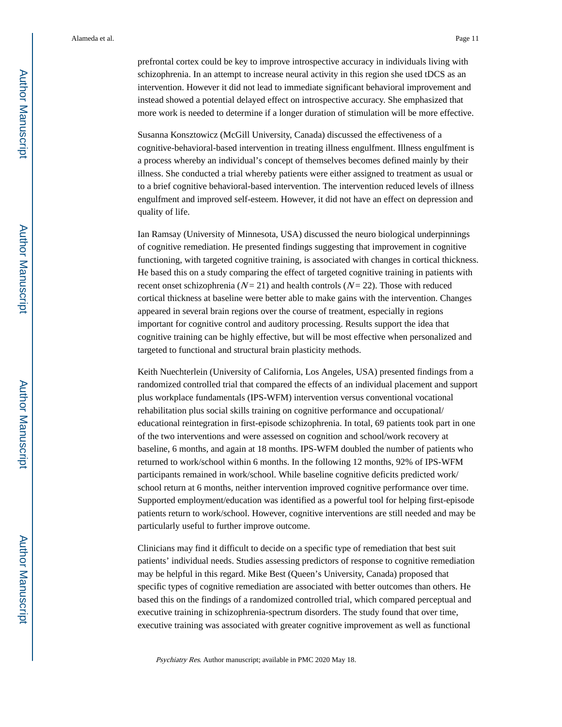prefrontal cortex could be key to improve introspective accuracy in individuals living with schizophrenia. In an attempt to increase neural activity in this region she used tDCS as an intervention. However it did not lead to immediate significant behavioral improvement and instead showed a potential delayed effect on introspective accuracy. She emphasized that more work is needed to determine if a longer duration of stimulation will be more effective.

Susanna Konsztowicz (McGill University, Canada) discussed the effectiveness of a cognitive-behavioral-based intervention in treating illness engulfment. Illness engulfment is a process whereby an individual's concept of themselves becomes defined mainly by their illness. She conducted a trial whereby patients were either assigned to treatment as usual or to a brief cognitive behavioral-based intervention. The intervention reduced levels of illness engulfment and improved self-esteem. However, it did not have an effect on depression and quality of life.

Ian Ramsay (University of Minnesota, USA) discussed the neuro biological underpinnings of cognitive remediation. He presented findings suggesting that improvement in cognitive functioning, with targeted cognitive training, is associated with changes in cortical thickness. He based this on a study comparing the effect of targeted cognitive training in patients with recent onset schizophrenia ( $N = 21$ ) and health controls ( $N = 22$ ). Those with reduced cortical thickness at baseline were better able to make gains with the intervention. Changes appeared in several brain regions over the course of treatment, especially in regions important for cognitive control and auditory processing. Results support the idea that cognitive training can be highly effective, but will be most effective when personalized and targeted to functional and structural brain plasticity methods.

Keith Nuechterlein (University of California, Los Angeles, USA) presented findings from a randomized controlled trial that compared the effects of an individual placement and support plus workplace fundamentals (IPS-WFM) intervention versus conventional vocational rehabilitation plus social skills training on cognitive performance and occupational/ educational reintegration in first-episode schizophrenia. In total, 69 patients took part in one of the two interventions and were assessed on cognition and school/work recovery at baseline, 6 months, and again at 18 months. IPS-WFM doubled the number of patients who returned to work/school within 6 months. In the following 12 months, 92% of IPS-WFM participants remained in work/school. While baseline cognitive deficits predicted work/ school return at 6 months, neither intervention improved cognitive performance over time. Supported employment/education was identified as a powerful tool for helping first-episode patients return to work/school. However, cognitive interventions are still needed and may be particularly useful to further improve outcome.

Clinicians may find it difficult to decide on a specific type of remediation that best suit patients' individual needs. Studies assessing predictors of response to cognitive remediation may be helpful in this regard. Mike Best (Queen's University, Canada) proposed that specific types of cognitive remediation are associated with better outcomes than others. He based this on the findings of a randomized controlled trial, which compared perceptual and executive training in schizophrenia-spectrum disorders. The study found that over time, executive training was associated with greater cognitive improvement as well as functional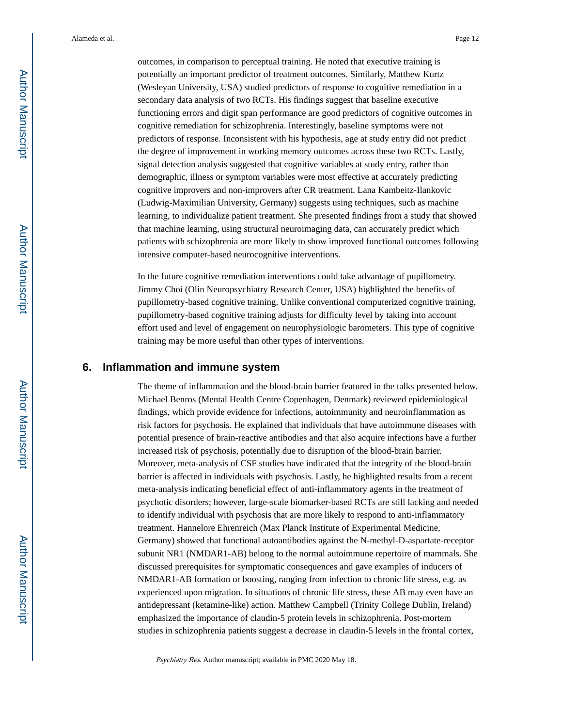outcomes, in comparison to perceptual training. He noted that executive training is potentially an important predictor of treatment outcomes. Similarly, Matthew Kurtz (Wesleyan University, USA) studied predictors of response to cognitive remediation in a secondary data analysis of two RCTs. His findings suggest that baseline executive functioning errors and digit span performance are good predictors of cognitive outcomes in cognitive remediation for schizophrenia. Interestingly, baseline symptoms were not predictors of response. Inconsistent with his hypothesis, age at study entry did not predict the degree of improvement in working memory outcomes across these two RCTs. Lastly, signal detection analysis suggested that cognitive variables at study entry, rather than demographic, illness or symptom variables were most effective at accurately predicting cognitive improvers and non-improvers after CR treatment. Lana Kambeitz-Ilankovic (Ludwig-Maximilian University, Germany) suggests using techniques, such as machine learning, to individualize patient treatment. She presented findings from a study that showed that machine learning, using structural neuroimaging data, can accurately predict which patients with schizophrenia are more likely to show improved functional outcomes following intensive computer-based neurocognitive interventions.

In the future cognitive remediation interventions could take advantage of pupillometry. Jimmy Choi (Olin Neuropsychiatry Research Center, USA) highlighted the benefits of pupillometry-based cognitive training. Unlike conventional computerized cognitive training, pupillometry-based cognitive training adjusts for difficulty level by taking into account effort used and level of engagement on neurophysiologic barometers. This type of cognitive training may be more useful than other types of interventions.

#### **6. Inflammation and immune system**

The theme of inflammation and the blood-brain barrier featured in the talks presented below. Michael Benros (Mental Health Centre Copenhagen, Denmark) reviewed epidemiological findings, which provide evidence for infections, autoimmunity and neuroinflammation as risk factors for psychosis. He explained that individuals that have autoimmune diseases with potential presence of brain-reactive antibodies and that also acquire infections have a further increased risk of psychosis, potentially due to disruption of the blood-brain barrier. Moreover, meta-analysis of CSF studies have indicated that the integrity of the blood-brain barrier is affected in individuals with psychosis. Lastly, he highlighted results from a recent meta-analysis indicating beneficial effect of anti-inflammatory agents in the treatment of psychotic disorders; however, large-scale biomarker-based RCTs are still lacking and needed to identify individual with psychosis that are more likely to respond to anti-inflammatory treatment. Hannelore Ehrenreich (Max Planck Institute of Experimental Medicine, Germany) showed that functional autoantibodies against the N-methyl-D-aspartate-receptor subunit NR1 (NMDAR1-AB) belong to the normal autoimmune repertoire of mammals. She discussed prerequisites for symptomatic consequences and gave examples of inducers of NMDAR1-AB formation or boosting, ranging from infection to chronic life stress, e.g. as experienced upon migration. In situations of chronic life stress, these AB may even have an antidepressant (ketamine-like) action. Matthew Campbell (Trinity College Dublin, Ireland) emphasized the importance of claudin-5 protein levels in schizophrenia. Post-mortem studies in schizophrenia patients suggest a decrease in claudin-5 levels in the frontal cortex,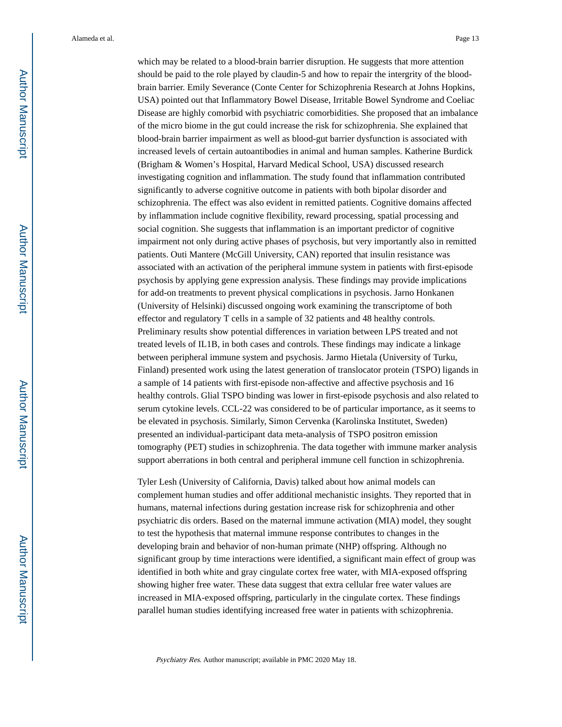which may be related to a blood-brain barrier disruption. He suggests that more attention should be paid to the role played by claudin-5 and how to repair the intergrity of the bloodbrain barrier. Emily Severance (Conte Center for Schizophrenia Research at Johns Hopkins, USA) pointed out that Inflammatory Bowel Disease, Irritable Bowel Syndrome and Coeliac Disease are highly comorbid with psychiatric comorbidities. She proposed that an imbalance of the micro biome in the gut could increase the risk for schizophrenia. She explained that blood-brain barrier impairment as well as blood-gut barrier dysfunction is associated with increased levels of certain autoantibodies in animal and human samples. Katherine Burdick (Brigham & Women's Hospital, Harvard Medical School, USA) discussed research investigating cognition and inflammation. The study found that inflammation contributed significantly to adverse cognitive outcome in patients with both bipolar disorder and schizophrenia. The effect was also evident in remitted patients. Cognitive domains affected by inflammation include cognitive flexibility, reward processing, spatial processing and social cognition. She suggests that inflammation is an important predictor of cognitive impairment not only during active phases of psychosis, but very importantly also in remitted patients. Outi Mantere (McGill University, CAN) reported that insulin resistance was associated with an activation of the peripheral immune system in patients with first-episode psychosis by applying gene expression analysis. These findings may provide implications for add-on treatments to prevent physical complications in psychosis. Jarno Honkanen (University of Helsinki) discussed ongoing work examining the transcriptome of both effector and regulatory T cells in a sample of 32 patients and 48 healthy controls. Preliminary results show potential differences in variation between LPS treated and not treated levels of IL1B, in both cases and controls. These findings may indicate a linkage between peripheral immune system and psychosis. Jarmo Hietala (University of Turku, Finland) presented work using the latest generation of translocator protein (TSPO) ligands in a sample of 14 patients with first-episode non-affective and affective psychosis and 16 healthy controls. Glial TSPO binding was lower in first-episode psychosis and also related to serum cytokine levels. CCL-22 was considered to be of particular importance, as it seems to be elevated in psychosis. Similarly, Simon Cervenka (Karolinska Institutet, Sweden) presented an individual-participant data meta-analysis of TSPO positron emission tomography (PET) studies in schizophrenia. The data together with immune marker analysis support aberrations in both central and peripheral immune cell function in schizophrenia.

Tyler Lesh (University of California, Davis) talked about how animal models can complement human studies and offer additional mechanistic insights. They reported that in humans, maternal infections during gestation increase risk for schizophrenia and other psychiatric dis orders. Based on the maternal immune activation (MIA) model, they sought to test the hypothesis that maternal immune response contributes to changes in the developing brain and behavior of non-human primate (NHP) offspring. Although no significant group by time interactions were identified, a significant main effect of group was identified in both white and gray cingulate cortex free water, with MIA-exposed offspring showing higher free water. These data suggest that extra cellular free water values are increased in MIA-exposed offspring, particularly in the cingulate cortex. These findings parallel human studies identifying increased free water in patients with schizophrenia.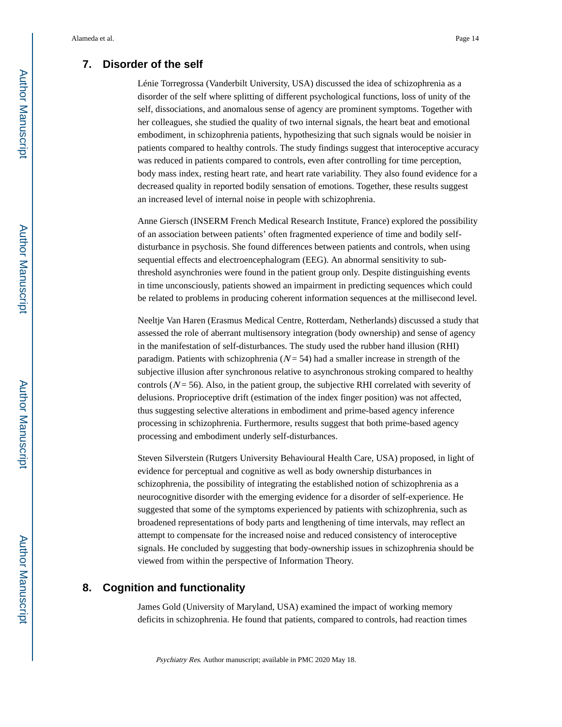#### **7. Disorder of the self**

Lénie Torregrossa (Vanderbilt University, USA) discussed the idea of schizophrenia as a disorder of the self where splitting of different psychological functions, loss of unity of the self, dissociations, and anomalous sense of agency are prominent symptoms. Together with her colleagues, she studied the quality of two internal signals, the heart beat and emotional embodiment, in schizophrenia patients, hypothesizing that such signals would be noisier in patients compared to healthy controls. The study findings suggest that interoceptive accuracy was reduced in patients compared to controls, even after controlling for time perception, body mass index, resting heart rate, and heart rate variability. They also found evidence for a decreased quality in reported bodily sensation of emotions. Together, these results suggest an increased level of internal noise in people with schizophrenia.

Anne Giersch (INSERM French Medical Research Institute, France) explored the possibility of an association between patients' often fragmented experience of time and bodily selfdisturbance in psychosis. She found differences between patients and controls, when using sequential effects and electroencephalogram (EEG). An abnormal sensitivity to subthreshold asynchronies were found in the patient group only. Despite distinguishing events in time unconsciously, patients showed an impairment in predicting sequences which could be related to problems in producing coherent information sequences at the millisecond level.

Neeltje Van Haren (Erasmus Medical Centre, Rotterdam, Netherlands) discussed a study that assessed the role of aberrant multisensory integration (body ownership) and sense of agency in the manifestation of self-disturbances. The study used the rubber hand illusion (RHI) paradigm. Patients with schizophrenia ( $N = 54$ ) had a smaller increase in strength of the subjective illusion after synchronous relative to asynchronous stroking compared to healthy controls  $(N = 56)$ . Also, in the patient group, the subjective RHI correlated with severity of delusions. Proprioceptive drift (estimation of the index finger position) was not affected, thus suggesting selective alterations in embodiment and prime-based agency inference processing in schizophrenia. Furthermore, results suggest that both prime-based agency processing and embodiment underly self-disturbances.

Steven Silverstein (Rutgers University Behavioural Health Care, USA) proposed, in light of evidence for perceptual and cognitive as well as body ownership disturbances in schizophrenia, the possibility of integrating the established notion of schizophrenia as a neurocognitive disorder with the emerging evidence for a disorder of self-experience. He suggested that some of the symptoms experienced by patients with schizophrenia, such as broadened representations of body parts and lengthening of time intervals, may reflect an attempt to compensate for the increased noise and reduced consistency of interoceptive signals. He concluded by suggesting that body-ownership issues in schizophrenia should be viewed from within the perspective of Information Theory.

#### **8. Cognition and functionality**

James Gold (University of Maryland, USA) examined the impact of working memory deficits in schizophrenia. He found that patients, compared to controls, had reaction times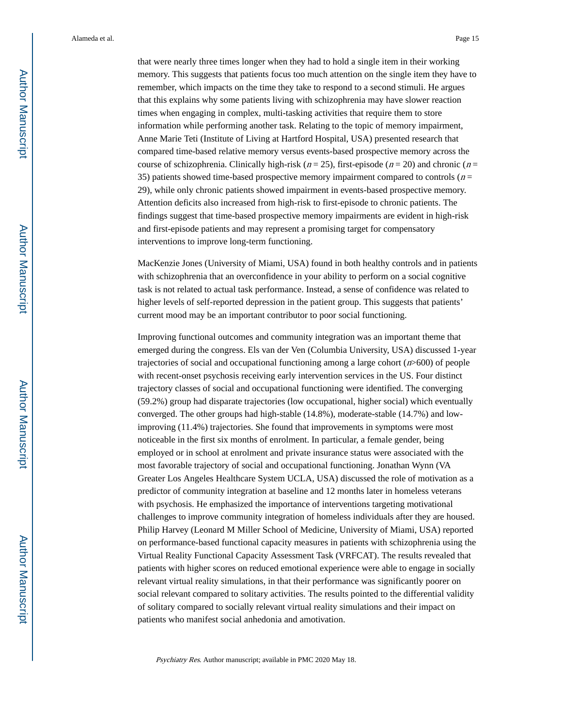that were nearly three times longer when they had to hold a single item in their working memory. This suggests that patients focus too much attention on the single item they have to remember, which impacts on the time they take to respond to a second stimuli. He argues that this explains why some patients living with schizophrenia may have slower reaction times when engaging in complex, multi-tasking activities that require them to store information while performing another task. Relating to the topic of memory impairment, Anne Marie Teti (Institute of Living at Hartford Hospital, USA) presented research that compared time-based relative memory versus events-based prospective memory across the course of schizophrenia. Clinically high-risk ( $n = 25$ ), first-episode ( $n = 20$ ) and chronic ( $n =$ 35) patients showed time-based prospective memory impairment compared to controls ( $n =$ 29), while only chronic patients showed impairment in events-based prospective memory. Attention deficits also increased from high-risk to first-episode to chronic patients. The findings suggest that time-based prospective memory impairments are evident in high-risk and first-episode patients and may represent a promising target for compensatory interventions to improve long-term functioning.

MacKenzie Jones (University of Miami, USA) found in both healthy controls and in patients with schizophrenia that an overconfidence in your ability to perform on a social cognitive task is not related to actual task performance. Instead, a sense of confidence was related to higher levels of self-reported depression in the patient group. This suggests that patients' current mood may be an important contributor to poor social functioning.

Improving functional outcomes and community integration was an important theme that emerged during the congress. Els van der Ven (Columbia University, USA) discussed 1-year trajectories of social and occupational functioning among a large cohort  $(n>600)$  of people with recent-onset psychosis receiving early intervention services in the US. Four distinct trajectory classes of social and occupational functioning were identified. The converging (59.2%) group had disparate trajectories (low occupational, higher social) which eventually converged. The other groups had high-stable (14.8%), moderate-stable (14.7%) and lowimproving (11.4%) trajectories. She found that improvements in symptoms were most noticeable in the first six months of enrolment. In particular, a female gender, being employed or in school at enrolment and private insurance status were associated with the most favorable trajectory of social and occupational functioning. Jonathan Wynn (VA Greater Los Angeles Healthcare System UCLA, USA) discussed the role of motivation as a predictor of community integration at baseline and 12 months later in homeless veterans with psychosis. He emphasized the importance of interventions targeting motivational challenges to improve community integration of homeless individuals after they are housed. Philip Harvey (Leonard M Miller School of Medicine, University of Miami, USA) reported on performance-based functional capacity measures in patients with schizophrenia using the Virtual Reality Functional Capacity Assessment Task (VRFCAT). The results revealed that patients with higher scores on reduced emotional experience were able to engage in socially relevant virtual reality simulations, in that their performance was significantly poorer on social relevant compared to solitary activities. The results pointed to the differential validity of solitary compared to socially relevant virtual reality simulations and their impact on patients who manifest social anhedonia and amotivation.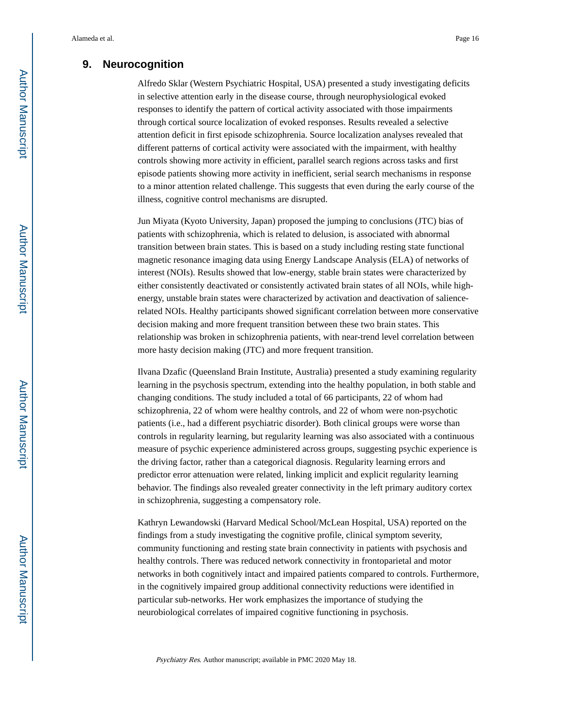#### **9. Neurocognition**

Alfredo Sklar (Western Psychiatric Hospital, USA) presented a study investigating deficits in selective attention early in the disease course, through neurophysiological evoked responses to identify the pattern of cortical activity associated with those impairments through cortical source localization of evoked responses. Results revealed a selective attention deficit in first episode schizophrenia. Source localization analyses revealed that different patterns of cortical activity were associated with the impairment, with healthy controls showing more activity in efficient, parallel search regions across tasks and first episode patients showing more activity in inefficient, serial search mechanisms in response to a minor attention related challenge. This suggests that even during the early course of the illness, cognitive control mechanisms are disrupted.

Jun Miyata (Kyoto University, Japan) proposed the jumping to conclusions (JTC) bias of patients with schizophrenia, which is related to delusion, is associated with abnormal transition between brain states. This is based on a study including resting state functional magnetic resonance imaging data using Energy Landscape Analysis (ELA) of networks of interest (NOIs). Results showed that low-energy, stable brain states were characterized by either consistently deactivated or consistently activated brain states of all NOIs, while highenergy, unstable brain states were characterized by activation and deactivation of saliencerelated NOIs. Healthy participants showed significant correlation between more conservative decision making and more frequent transition between these two brain states. This relationship was broken in schizophrenia patients, with near-trend level correlation between more hasty decision making (JTC) and more frequent transition.

Ilvana Dzafic (Queensland Brain Institute, Australia) presented a study examining regularity learning in the psychosis spectrum, extending into the healthy population, in both stable and changing conditions. The study included a total of 66 participants, 22 of whom had schizophrenia, 22 of whom were healthy controls, and 22 of whom were non-psychotic patients (i.e., had a different psychiatric disorder). Both clinical groups were worse than controls in regularity learning, but regularity learning was also associated with a continuous measure of psychic experience administered across groups, suggesting psychic experience is the driving factor, rather than a categorical diagnosis. Regularity learning errors and predictor error attenuation were related, linking implicit and explicit regularity learning behavior. The findings also revealed greater connectivity in the left primary auditory cortex in schizophrenia, suggesting a compensatory role.

Kathryn Lewandowski (Harvard Medical School/McLean Hospital, USA) reported on the findings from a study investigating the cognitive profile, clinical symptom severity, community functioning and resting state brain connectivity in patients with psychosis and healthy controls. There was reduced network connectivity in frontoparietal and motor networks in both cognitively intact and impaired patients compared to controls. Furthermore, in the cognitively impaired group additional connectivity reductions were identified in particular sub-networks. Her work emphasizes the importance of studying the neurobiological correlates of impaired cognitive functioning in psychosis.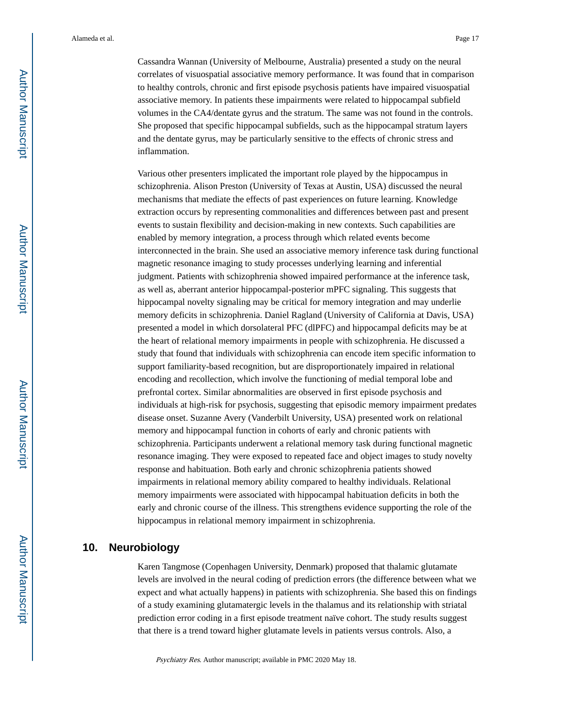Cassandra Wannan (University of Melbourne, Australia) presented a study on the neural correlates of visuospatial associative memory performance. It was found that in comparison to healthy controls, chronic and first episode psychosis patients have impaired visuospatial associative memory. In patients these impairments were related to hippocampal subfield volumes in the CA4/dentate gyrus and the stratum. The same was not found in the controls. She proposed that specific hippocampal subfields, such as the hippocampal stratum layers and the dentate gyrus, may be particularly sensitive to the effects of chronic stress and inflammation.

Various other presenters implicated the important role played by the hippocampus in schizophrenia. Alison Preston (University of Texas at Austin, USA) discussed the neural mechanisms that mediate the effects of past experiences on future learning. Knowledge extraction occurs by representing commonalities and differences between past and present events to sustain flexibility and decision-making in new contexts. Such capabilities are enabled by memory integration, a process through which related events become interconnected in the brain. She used an associative memory inference task during functional magnetic resonance imaging to study processes underlying learning and inferential judgment. Patients with schizophrenia showed impaired performance at the inference task, as well as, aberrant anterior hippocampal-posterior mPFC signaling. This suggests that hippocampal novelty signaling may be critical for memory integration and may underlie memory deficits in schizophrenia. Daniel Ragland (University of California at Davis, USA) presented a model in which dorsolateral PFC (dlPFC) and hippocampal deficits may be at the heart of relational memory impairments in people with schizophrenia. He discussed a study that found that individuals with schizophrenia can encode item specific information to support familiarity-based recognition, but are disproportionately impaired in relational encoding and recollection, which involve the functioning of medial temporal lobe and prefrontal cortex. Similar abnormalities are observed in first episode psychosis and individuals at high-risk for psychosis, suggesting that episodic memory impairment predates disease onset. Suzanne Avery (Vanderbilt University, USA) presented work on relational memory and hippocampal function in cohorts of early and chronic patients with schizophrenia. Participants underwent a relational memory task during functional magnetic resonance imaging. They were exposed to repeated face and object images to study novelty response and habituation. Both early and chronic schizophrenia patients showed impairments in relational memory ability compared to healthy individuals. Relational memory impairments were associated with hippocampal habituation deficits in both the early and chronic course of the illness. This strengthens evidence supporting the role of the hippocampus in relational memory impairment in schizophrenia.

#### **10. Neurobiology**

Karen Tangmose (Copenhagen University, Denmark) proposed that thalamic glutamate levels are involved in the neural coding of prediction errors (the difference between what we expect and what actually happens) in patients with schizophrenia. She based this on findings of a study examining glutamatergic levels in the thalamus and its relationship with striatal prediction error coding in a first episode treatment naïve cohort. The study results suggest that there is a trend toward higher glutamate levels in patients versus controls. Also, a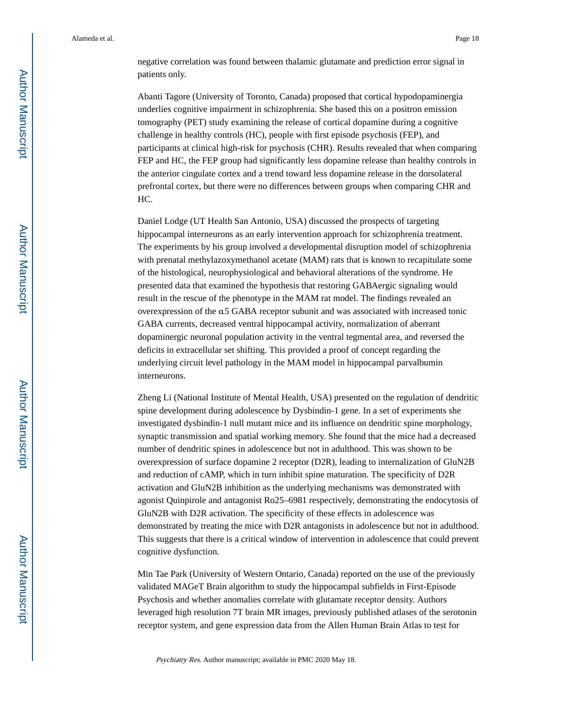negative correlation was found between thalamic glutamate and prediction error signal in patients only.

Abanti Tagore (University of Toronto, Canada) proposed that cortical hypodopaminergia underlies cognitive impairment in schizophrenia. She based this on a positron emission tomography (PET) study examining the release of cortical dopamine during a cognitive challenge in healthy controls (HC), people with first episode psychosis (FEP), and participants at clinical high-risk for psychosis (CHR). Results revealed that when comparing FEP and HC, the FEP group had significantly less dopamine release than healthy controls in the anterior cingulate cortex and a trend toward less dopamine release in the dorsolateral prefrontal cortex, but there were no differences between groups when comparing CHR and HC.

Daniel Lodge (UT Health San Antonio, USA) discussed the prospects of targeting hippocampal interneurons as an early intervention approach for schizophrenia treatment. The experiments by his group involved a developmental disruption model of schizophrenia with prenatal methylazoxymethanol acetate (MAM) rats that is known to recapitulate some of the histological, neurophysiological and behavioral alterations of the syndrome. He presented data that examined the hypothesis that restoring GABAergic signaling would result in the rescue of the phenotype in the MAM rat model. The findings revealed an overexpression of the α5 GABA receptor subunit and was associated with increased tonic GABA currents, decreased ventral hippocampal activity, normalization of aberrant dopaminergic neuronal population activity in the ventral tegmental area, and reversed the deficits in extracellular set shifting. This provided a proof of concept regarding the underlying circuit level pathology in the MAM model in hippocampal parvalbumin interneurons.

Zheng Li (National Institute of Mental Health, USA) presented on the regulation of dendritic spine development during adolescence by Dysbindin-1 gene. In a set of experiments she investigated dysbindin-1 null mutant mice and its influence on dendritic spine morphology, synaptic transmission and spatial working memory. She found that the mice had a decreased number of dendritic spines in adolescence but not in adulthood. This was shown to be overexpression of surface dopamine 2 receptor (D2R), leading to internalization of GluN2B and reduction of cAMP, which in turn inhibit spine maturation. The specificity of D2R activation and GluN2B inhibition as the underlying mechanisms was demonstrated with agonist Quinpirole and antagonist Ro25–6981 respectively, demonstrating the endocytosis of GluN2B with D2R activation. The specificity of these effects in adolescence was demonstrated by treating the mice with D2R antagonists in adolescence but not in adulthood. This suggests that there is a critical window of intervention in adolescence that could prevent cognitive dysfunction.

Min Tae Park (University of Western Ontario, Canada) reported on the use of the previously validated MAGeT Brain algorithm to study the hippocampal subfields in First-Episode Psychosis and whether anomalies correlate with glutamate receptor density. Authors leveraged high resolution 7T brain MR images, previously published atlases of the serotonin receptor system, and gene expression data from the Allen Human Brain Atlas to test for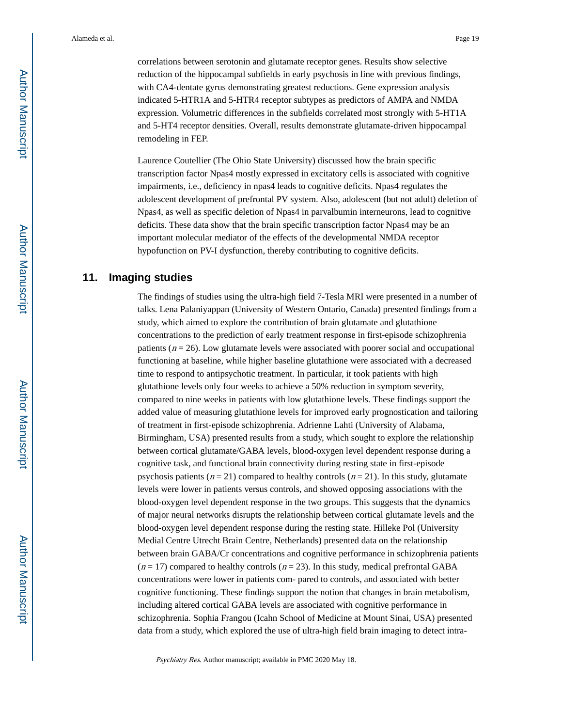correlations between serotonin and glutamate receptor genes. Results show selective reduction of the hippocampal subfields in early psychosis in line with previous findings, with CA4-dentate gyrus demonstrating greatest reductions. Gene expression analysis indicated 5-HTR1A and 5-HTR4 receptor subtypes as predictors of AMPA and NMDA expression. Volumetric differences in the subfields correlated most strongly with 5-HT1A and 5-HT4 receptor densities. Overall, results demonstrate glutamate-driven hippocampal remodeling in FEP.

Laurence Coutellier (The Ohio State University) discussed how the brain specific transcription factor Npas4 mostly expressed in excitatory cells is associated with cognitive impairments, i.e., deficiency in npas4 leads to cognitive deficits. Npas4 regulates the adolescent development of prefrontal PV system. Also, adolescent (but not adult) deletion of Npas4, as well as specific deletion of Npas4 in parvalbumin interneurons, lead to cognitive deficits. These data show that the brain specific transcription factor Npas4 may be an important molecular mediator of the effects of the developmental NMDA receptor hypofunction on PV-I dysfunction, thereby contributing to cognitive deficits.

#### **11. Imaging studies**

The findings of studies using the ultra-high field 7-Tesla MRI were presented in a number of talks. Lena Palaniyappan (University of Western Ontario, Canada) presented findings from a study, which aimed to explore the contribution of brain glutamate and glutathione concentrations to the prediction of early treatment response in first-episode schizophrenia patients ( $n = 26$ ). Low glutamate levels were associated with poorer social and occupational functioning at baseline, while higher baseline glutathione were associated with a decreased time to respond to antipsychotic treatment. In particular, it took patients with high glutathione levels only four weeks to achieve a 50% reduction in symptom severity, compared to nine weeks in patients with low glutathione levels. These findings support the added value of measuring glutathione levels for improved early prognostication and tailoring of treatment in first-episode schizophrenia. Adrienne Lahti (University of Alabama, Birmingham, USA) presented results from a study, which sought to explore the relationship between cortical glutamate/GABA levels, blood-oxygen level dependent response during a cognitive task, and functional brain connectivity during resting state in first-episode psychosis patients ( $n = 21$ ) compared to healthy controls ( $n = 21$ ). In this study, glutamate levels were lower in patients versus controls, and showed opposing associations with the blood-oxygen level dependent response in the two groups. This suggests that the dynamics of major neural networks disrupts the relationship between cortical glutamate levels and the blood-oxygen level dependent response during the resting state. Hilleke Pol (University Medial Centre Utrecht Brain Centre, Netherlands) presented data on the relationship between brain GABA/Cr concentrations and cognitive performance in schizophrenia patients  $(n = 17)$  compared to healthy controls  $(n = 23)$ . In this study, medical prefrontal GABA concentrations were lower in patients com- pared to controls, and associated with better cognitive functioning. These findings support the notion that changes in brain metabolism, including altered cortical GABA levels are associated with cognitive performance in schizophrenia. Sophia Frangou (Icahn School of Medicine at Mount Sinai, USA) presented data from a study, which explored the use of ultra-high field brain imaging to detect intra-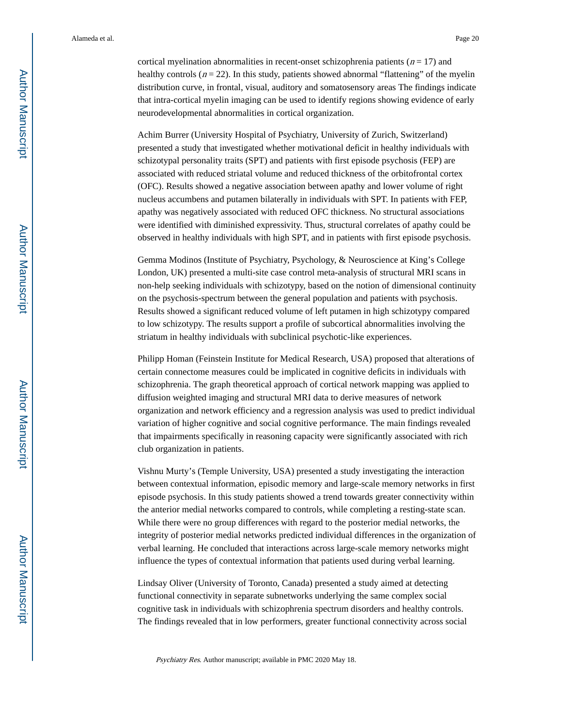cortical myelination abnormalities in recent-onset schizophrenia patients ( $n = 17$ ) and healthy controls ( $n = 22$ ). In this study, patients showed abnormal "flattening" of the myelin distribution curve, in frontal, visual, auditory and somatosensory areas The findings indicate that intra-cortical myelin imaging can be used to identify regions showing evidence of early neurodevelopmental abnormalities in cortical organization.

Achim Burrer (University Hospital of Psychiatry, University of Zurich, Switzerland) presented a study that investigated whether motivational deficit in healthy individuals with schizotypal personality traits (SPT) and patients with first episode psychosis (FEP) are associated with reduced striatal volume and reduced thickness of the orbitofrontal cortex (OFC). Results showed a negative association between apathy and lower volume of right nucleus accumbens and putamen bilaterally in individuals with SPT. In patients with FEP, apathy was negatively associated with reduced OFC thickness. No structural associations were identified with diminished expressivity. Thus, structural correlates of apathy could be observed in healthy individuals with high SPT, and in patients with first episode psychosis.

Gemma Modinos (Institute of Psychiatry, Psychology, & Neuroscience at King's College London, UK) presented a multi-site case control meta-analysis of structural MRI scans in non-help seeking individuals with schizotypy, based on the notion of dimensional continuity on the psychosis-spectrum between the general population and patients with psychosis. Results showed a significant reduced volume of left putamen in high schizotypy compared to low schizotypy. The results support a profile of subcortical abnormalities involving the striatum in healthy individuals with subclinical psychotic-like experiences.

Philipp Homan (Feinstein Institute for Medical Research, USA) proposed that alterations of certain connectome measures could be implicated in cognitive deficits in individuals with schizophrenia. The graph theoretical approach of cortical network mapping was applied to diffusion weighted imaging and structural MRI data to derive measures of network organization and network efficiency and a regression analysis was used to predict individual variation of higher cognitive and social cognitive performance. The main findings revealed that impairments specifically in reasoning capacity were significantly associated with rich club organization in patients.

Vishnu Murty's (Temple University, USA) presented a study investigating the interaction between contextual information, episodic memory and large-scale memory networks in first episode psychosis. In this study patients showed a trend towards greater connectivity within the anterior medial networks compared to controls, while completing a resting-state scan. While there were no group differences with regard to the posterior medial networks, the integrity of posterior medial networks predicted individual differences in the organization of verbal learning. He concluded that interactions across large-scale memory networks might influence the types of contextual information that patients used during verbal learning.

Lindsay Oliver (University of Toronto, Canada) presented a study aimed at detecting functional connectivity in separate subnetworks underlying the same complex social cognitive task in individuals with schizophrenia spectrum disorders and healthy controls. The findings revealed that in low performers, greater functional connectivity across social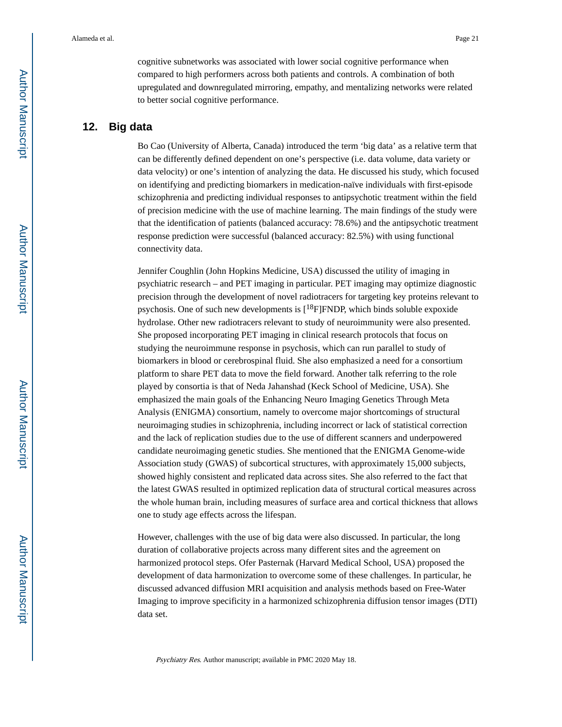cognitive subnetworks was associated with lower social cognitive performance when compared to high performers across both patients and controls. A combination of both upregulated and downregulated mirroring, empathy, and mentalizing networks were related to better social cognitive performance.

#### **12. Big data**

Bo Cao (University of Alberta, Canada) introduced the term 'big data' as a relative term that can be differently defined dependent on one's perspective (i.e. data volume, data variety or data velocity) or one's intention of analyzing the data. He discussed his study, which focused on identifying and predicting biomarkers in medication-naïve individuals with first-episode schizophrenia and predicting individual responses to antipsychotic treatment within the field of precision medicine with the use of machine learning. The main findings of the study were that the identification of patients (balanced accuracy: 78.6%) and the antipsychotic treatment response prediction were successful (balanced accuracy: 82.5%) with using functional connectivity data.

Jennifer Coughlin (John Hopkins Medicine, USA) discussed the utility of imaging in psychiatric research – and PET imaging in particular. PET imaging may optimize diagnostic precision through the development of novel radiotracers for targeting key proteins relevant to psychosis. One of such new developments is  $[18F]FNDP$ , which binds soluble expoxide hydrolase. Other new radiotracers relevant to study of neuroimmunity were also presented. She proposed incorporating PET imaging in clinical research protocols that focus on studying the neuroimmune response in psychosis, which can run parallel to study of biomarkers in blood or cerebrospinal fluid. She also emphasized a need for a consortium platform to share PET data to move the field forward. Another talk referring to the role played by consortia is that of Neda Jahanshad (Keck School of Medicine, USA). She emphasized the main goals of the Enhancing Neuro Imaging Genetics Through Meta Analysis (ENIGMA) consortium, namely to overcome major shortcomings of structural neuroimaging studies in schizophrenia, including incorrect or lack of statistical correction and the lack of replication studies due to the use of different scanners and underpowered candidate neuroimaging genetic studies. She mentioned that the ENIGMA Genome-wide Association study (GWAS) of subcortical structures, with approximately 15,000 subjects, showed highly consistent and replicated data across sites. She also referred to the fact that the latest GWAS resulted in optimized replication data of structural cortical measures across the whole human brain, including measures of surface area and cortical thickness that allows one to study age effects across the lifespan.

However, challenges with the use of big data were also discussed. In particular, the long duration of collaborative projects across many different sites and the agreement on harmonized protocol steps. Ofer Pasternak (Harvard Medical School, USA) proposed the development of data harmonization to overcome some of these challenges. In particular, he discussed advanced diffusion MRI acquisition and analysis methods based on Free-Water Imaging to improve specificity in a harmonized schizophrenia diffusion tensor images (DTI) data set.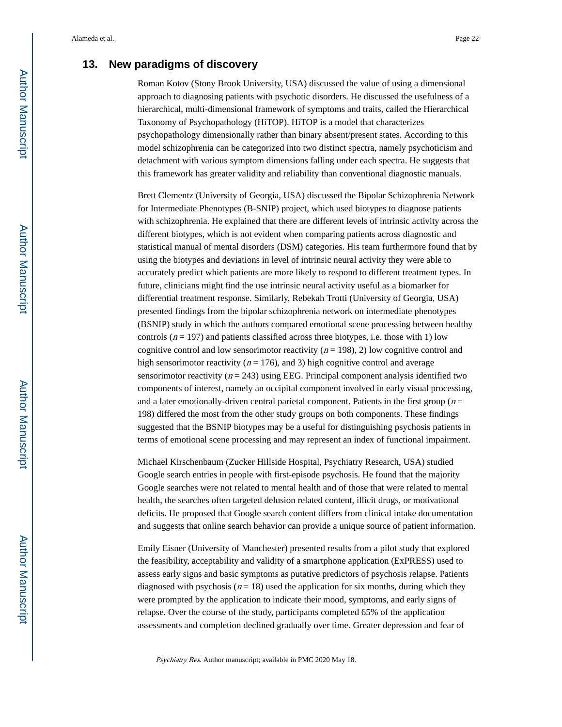#### **13. New paradigms of discovery**

Roman Kotov (Stony Brook University, USA) discussed the value of using a dimensional approach to diagnosing patients with psychotic disorders. He discussed the usefulness of a hierarchical, multi-dimensional framework of symptoms and traits, called the Hierarchical Taxonomy of Psychopathology (HiTOP). HiTOP is a model that characterizes psychopathology dimensionally rather than binary absent/present states. According to this model schizophrenia can be categorized into two distinct spectra, namely psychoticism and detachment with various symptom dimensions falling under each spectra. He suggests that this framework has greater validity and reliability than conventional diagnostic manuals.

Brett Clementz (University of Georgia, USA) discussed the Bipolar Schizophrenia Network for Intermediate Phenotypes (B-SNIP) project, which used biotypes to diagnose patients with schizophrenia. He explained that there are different levels of intrinsic activity across the different biotypes, which is not evident when comparing patients across diagnostic and statistical manual of mental disorders (DSM) categories. His team furthermore found that by using the biotypes and deviations in level of intrinsic neural activity they were able to accurately predict which patients are more likely to respond to different treatment types. In future, clinicians might find the use intrinsic neural activity useful as a biomarker for differential treatment response. Similarly, Rebekah Trotti (University of Georgia, USA) presented findings from the bipolar schizophrenia network on intermediate phenotypes (BSNIP) study in which the authors compared emotional scene processing between healthy controls ( $n = 197$ ) and patients classified across three biotypes, i.e. those with 1) low cognitive control and low sensorimotor reactivity ( $n = 198$ ), 2) low cognitive control and high sensorimotor reactivity ( $n = 176$ ), and 3) high cognitive control and average sensorimotor reactivity ( $n = 243$ ) using EEG. Principal component analysis identified two components of interest, namely an occipital component involved in early visual processing, and a later emotionally-driven central parietal component. Patients in the first group ( $n =$ 198) differed the most from the other study groups on both components. These findings suggested that the BSNIP biotypes may be a useful for distinguishing psychosis patients in terms of emotional scene processing and may represent an index of functional impairment.

Michael Kirschenbaum (Zucker Hillside Hospital, Psychiatry Research, USA) studied Google search entries in people with first-episode psychosis. He found that the majority Google searches were not related to mental health and of those that were related to mental health, the searches often targeted delusion related content, illicit drugs, or motivational deficits. He proposed that Google search content differs from clinical intake documentation and suggests that online search behavior can provide a unique source of patient information.

Emily Eisner (University of Manchester) presented results from a pilot study that explored the feasibility, acceptability and validity of a smartphone application (ExPRESS) used to assess early signs and basic symptoms as putative predictors of psychosis relapse. Patients diagnosed with psychosis ( $n = 18$ ) used the application for six months, during which they were prompted by the application to indicate their mood, symptoms, and early signs of relapse. Over the course of the study, participants completed 65% of the application assessments and completion declined gradually over time. Greater depression and fear of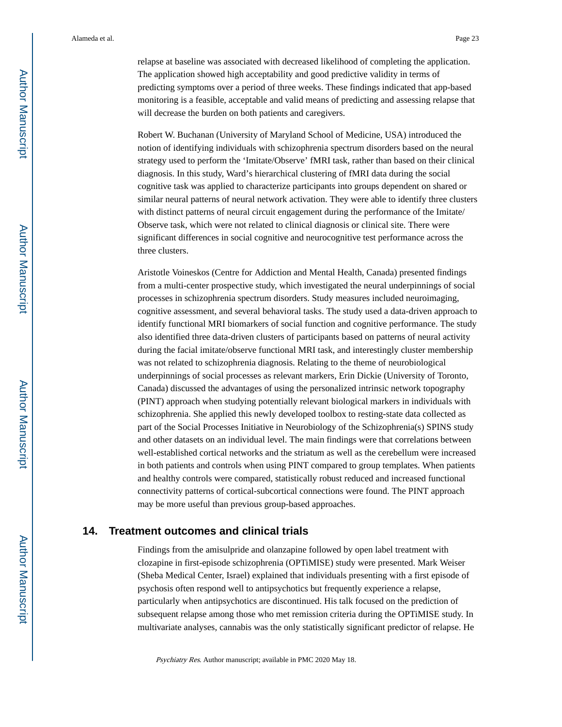relapse at baseline was associated with decreased likelihood of completing the application. The application showed high acceptability and good predictive validity in terms of predicting symptoms over a period of three weeks. These findings indicated that app-based monitoring is a feasible, acceptable and valid means of predicting and assessing relapse that will decrease the burden on both patients and caregivers.

Robert W. Buchanan (University of Maryland School of Medicine, USA) introduced the notion of identifying individuals with schizophrenia spectrum disorders based on the neural strategy used to perform the 'Imitate/Observe' fMRI task, rather than based on their clinical diagnosis. In this study, Ward's hierarchical clustering of fMRI data during the social cognitive task was applied to characterize participants into groups dependent on shared or similar neural patterns of neural network activation. They were able to identify three clusters with distinct patterns of neural circuit engagement during the performance of the Imitate/ Observe task, which were not related to clinical diagnosis or clinical site. There were significant differences in social cognitive and neurocognitive test performance across the three clusters.

Aristotle Voineskos (Centre for Addiction and Mental Health, Canada) presented findings from a multi-center prospective study, which investigated the neural underpinnings of social processes in schizophrenia spectrum disorders. Study measures included neuroimaging, cognitive assessment, and several behavioral tasks. The study used a data-driven approach to identify functional MRI biomarkers of social function and cognitive performance. The study also identified three data-driven clusters of participants based on patterns of neural activity during the facial imitate/observe functional MRI task, and interestingly cluster membership was not related to schizophrenia diagnosis. Relating to the theme of neurobiological underpinnings of social processes as relevant markers, Erin Dickie (University of Toronto, Canada) discussed the advantages of using the personalized intrinsic network topography (PINT) approach when studying potentially relevant biological markers in individuals with schizophrenia. She applied this newly developed toolbox to resting-state data collected as part of the Social Processes Initiative in Neurobiology of the Schizophrenia(s) SPINS study and other datasets on an individual level. The main findings were that correlations between well-established cortical networks and the striatum as well as the cerebellum were increased in both patients and controls when using PINT compared to group templates. When patients and healthy controls were compared, statistically robust reduced and increased functional connectivity patterns of cortical-subcortical connections were found. The PINT approach may be more useful than previous group-based approaches.

#### **14. Treatment outcomes and clinical trials**

Findings from the amisulpride and olanzapine followed by open label treatment with clozapine in first-episode schizophrenia (OPTiMISE) study were presented. Mark Weiser (Sheba Medical Center, Israel) explained that individuals presenting with a first episode of psychosis often respond well to antipsychotics but frequently experience a relapse, particularly when antipsychotics are discontinued. His talk focused on the prediction of subsequent relapse among those who met remission criteria during the OPTiMISE study. In multivariate analyses, cannabis was the only statistically significant predictor of relapse. He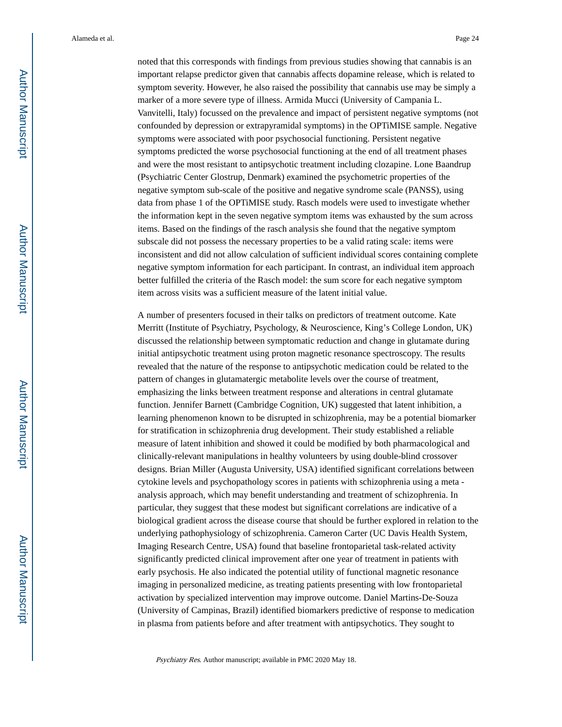noted that this corresponds with findings from previous studies showing that cannabis is an important relapse predictor given that cannabis affects dopamine release, which is related to symptom severity. However, he also raised the possibility that cannabis use may be simply a marker of a more severe type of illness. Armida Mucci (University of Campania L. Vanvitelli, Italy) focussed on the prevalence and impact of persistent negative symptoms (not confounded by depression or extrapyramidal symptoms) in the OPTiMISE sample. Negative symptoms were associated with poor psychosocial functioning. Persistent negative symptoms predicted the worse psychosocial functioning at the end of all treatment phases and were the most resistant to antipsychotic treatment including clozapine. Lone Baandrup (Psychiatric Center Glostrup, Denmark) examined the psychometric properties of the negative symptom sub-scale of the positive and negative syndrome scale (PANSS), using data from phase 1 of the OPTiMISE study. Rasch models were used to investigate whether the information kept in the seven negative symptom items was exhausted by the sum across items. Based on the findings of the rasch analysis she found that the negative symptom subscale did not possess the necessary properties to be a valid rating scale: items were inconsistent and did not allow calculation of sufficient individual scores containing complete negative symptom information for each participant. In contrast, an individual item approach better fulfilled the criteria of the Rasch model: the sum score for each negative symptom item across visits was a sufficient measure of the latent initial value.

A number of presenters focused in their talks on predictors of treatment outcome. Kate Merritt (Institute of Psychiatry, Psychology, & Neuroscience, King's College London, UK) discussed the relationship between symptomatic reduction and change in glutamate during initial antipsychotic treatment using proton magnetic resonance spectroscopy. The results revealed that the nature of the response to antipsychotic medication could be related to the pattern of changes in glutamatergic metabolite levels over the course of treatment, emphasizing the links between treatment response and alterations in central glutamate function. Jennifer Barnett (Cambridge Cognition, UK) suggested that latent inhibition, a learning phenomenon known to be disrupted in schizophrenia, may be a potential biomarker for stratification in schizophrenia drug development. Their study established a reliable measure of latent inhibition and showed it could be modified by both pharmacological and clinically-relevant manipulations in healthy volunteers by using double-blind crossover designs. Brian Miller (Augusta University, USA) identified significant correlations between cytokine levels and psychopathology scores in patients with schizophrenia using a meta analysis approach, which may benefit understanding and treatment of schizophrenia. In particular, they suggest that these modest but significant correlations are indicative of a biological gradient across the disease course that should be further explored in relation to the underlying pathophysiology of schizophrenia. Cameron Carter (UC Davis Health System, Imaging Research Centre, USA) found that baseline frontoparietal task-related activity significantly predicted clinical improvement after one year of treatment in patients with early psychosis. He also indicated the potential utility of functional magnetic resonance imaging in personalized medicine, as treating patients presenting with low frontoparietal activation by specialized intervention may improve outcome. Daniel Martins-De-Souza (University of Campinas, Brazil) identified biomarkers predictive of response to medication in plasma from patients before and after treatment with antipsychotics. They sought to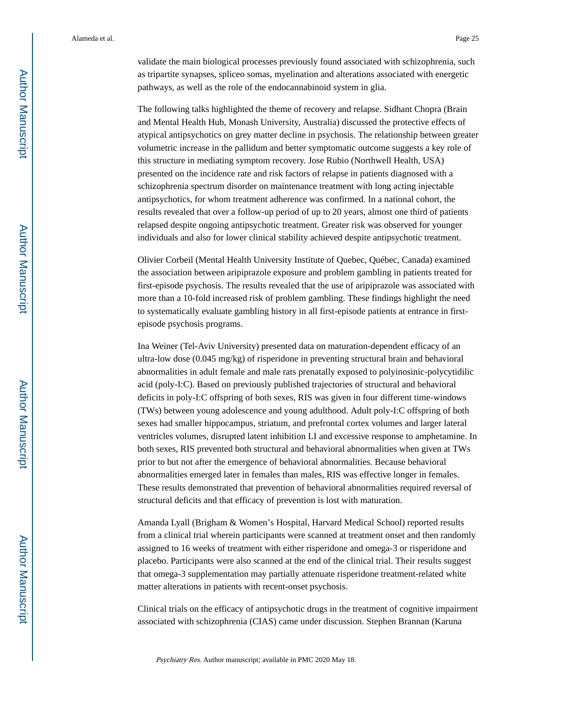validate the main biological processes previously found associated with schizophrenia, such as tripartite synapses, spliceo somas, myelination and alterations associated with energetic pathways, as well as the role of the endocannabinoid system in glia.

The following talks highlighted the theme of recovery and relapse. Sidhant Chopra (Brain and Mental Health Hub, Monash University, Australia) discussed the protective effects of atypical antipsychotics on grey matter decline in psychosis. The relationship between greater volumetric increase in the pallidum and better symptomatic outcome suggests a key role of this structure in mediating symptom recovery. Jose Rubio (Northwell Health, USA) presented on the incidence rate and risk factors of relapse in patients diagnosed with a schizophrenia spectrum disorder on maintenance treatment with long acting injectable antipsychotics, for whom treatment adherence was confirmed. In a national cohort, the results revealed that over a follow-up period of up to 20 years, almost one third of patients relapsed despite ongoing antipsychotic treatment. Greater risk was observed for younger individuals and also for lower clinical stability achieved despite antipsychotic treatment.

Olivier Corbeil (Mental Health University Institute of Quebec, Québec, Canada) examined the association between aripiprazole exposure and problem gambling in patients treated for first-episode psychosis. The results revealed that the use of aripiprazole was associated with more than a 10-fold increased risk of problem gambling. These findings highlight the need to systematically evaluate gambling history in all first-episode patients at entrance in firstepisode psychosis programs.

Ina Weiner (Tel-Aviv University) presented data on maturation-dependent efficacy of an ultra-low dose (0.045 mg/kg) of risperidone in preventing structural brain and behavioral abnormalities in adult female and male rats prenatally exposed to polyinosinic-polycytidilic acid (poly-I:C). Based on previously published trajectories of structural and behavioral deficits in poly-I:C offspring of both sexes, RIS was given in four different time-windows (TWs) between young adolescence and young adulthood. Adult poly-I:C offspring of both sexes had smaller hippocampus, striatum, and prefrontal cortex volumes and larger lateral ventricles volumes, disrupted latent inhibition LI and excessive response to amphetamine. In both sexes, RIS prevented both structural and behavioral abnormalities when given at TWs prior to but not after the emergence of behavioral abnormalities. Because behavioral abnormalities emerged later in females than males, RIS was effective longer in females. These results demonstrated that prevention of behavioral abnormalities required reversal of structural deficits and that efficacy of prevention is lost with maturation.

Amanda Lyall (Brigham & Women's Hospital, Harvard Medical School) reported results from a clinical trial wherein participants were scanned at treatment onset and then randomly assigned to 16 weeks of treatment with either risperidone and omega-3 or risperidone and placebo. Participants were also scanned at the end of the clinical trial. Their results suggest that omega-3 supplementation may partially attenuate risperidone treatment-related white matter alterations in patients with recent-onset psychosis.

Clinical trials on the efficacy of antipsychotic drugs in the treatment of cognitive impairment associated with schizophrenia (CIAS) came under discussion. Stephen Brannan (Karuna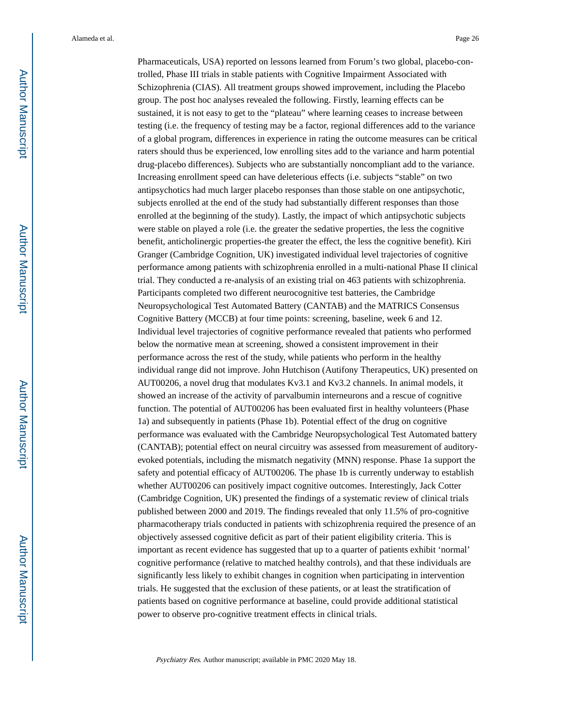Pharmaceuticals, USA) reported on lessons learned from Forum's two global, placebo-controlled, Phase III trials in stable patients with Cognitive Impairment Associated with Schizophrenia (CIAS). All treatment groups showed improvement, including the Placebo group. The post hoc analyses revealed the following. Firstly, learning effects can be sustained, it is not easy to get to the "plateau" where learning ceases to increase between testing (i.e. the frequency of testing may be a factor, regional differences add to the variance of a global program, differences in experience in rating the outcome measures can be critical raters should thus be experienced, low enrolling sites add to the variance and harm potential drug-placebo differences). Subjects who are substantially noncompliant add to the variance. Increasing enrollment speed can have deleterious effects (i.e. subjects "stable" on two antipsychotics had much larger placebo responses than those stable on one antipsychotic, subjects enrolled at the end of the study had substantially different responses than those enrolled at the beginning of the study). Lastly, the impact of which antipsychotic subjects were stable on played a role (i.e. the greater the sedative properties, the less the cognitive benefit, anticholinergic properties-the greater the effect, the less the cognitive benefit). Kiri Granger (Cambridge Cognition, UK) investigated individual level trajectories of cognitive performance among patients with schizophrenia enrolled in a multi-national Phase II clinical trial. They conducted a re-analysis of an existing trial on 463 patients with schizophrenia. Participants completed two different neurocognitive test batteries, the Cambridge Neuropsychological Test Automated Battery (CANTAB) and the MATRICS Consensus Cognitive Battery (MCCB) at four time points: screening, baseline, week 6 and 12. Individual level trajectories of cognitive performance revealed that patients who performed below the normative mean at screening, showed a consistent improvement in their performance across the rest of the study, while patients who perform in the healthy individual range did not improve. John Hutchison (Autifony Therapeutics, UK) presented on AUT00206, a novel drug that modulates Kv3.1 and Kv3.2 channels. In animal models, it showed an increase of the activity of parvalbumin interneurons and a rescue of cognitive function. The potential of AUT00206 has been evaluated first in healthy volunteers (Phase 1a) and subsequently in patients (Phase 1b). Potential effect of the drug on cognitive performance was evaluated with the Cambridge Neuropsychological Test Automated battery (CANTAB); potential effect on neural circuitry was assessed from measurement of auditoryevoked potentials, including the mismatch negativity (MNN) response. Phase 1a support the safety and potential efficacy of AUT00206. The phase 1b is currently underway to establish whether AUT00206 can positively impact cognitive outcomes. Interestingly, Jack Cotter (Cambridge Cognition, UK) presented the findings of a systematic review of clinical trials published between 2000 and 2019. The findings revealed that only 11.5% of pro-cognitive pharmacotherapy trials conducted in patients with schizophrenia required the presence of an objectively assessed cognitive deficit as part of their patient eligibility criteria. This is important as recent evidence has suggested that up to a quarter of patients exhibit 'normal' cognitive performance (relative to matched healthy controls), and that these individuals are significantly less likely to exhibit changes in cognition when participating in intervention trials. He suggested that the exclusion of these patients, or at least the stratification of patients based on cognitive performance at baseline, could provide additional statistical power to observe pro-cognitive treatment effects in clinical trials.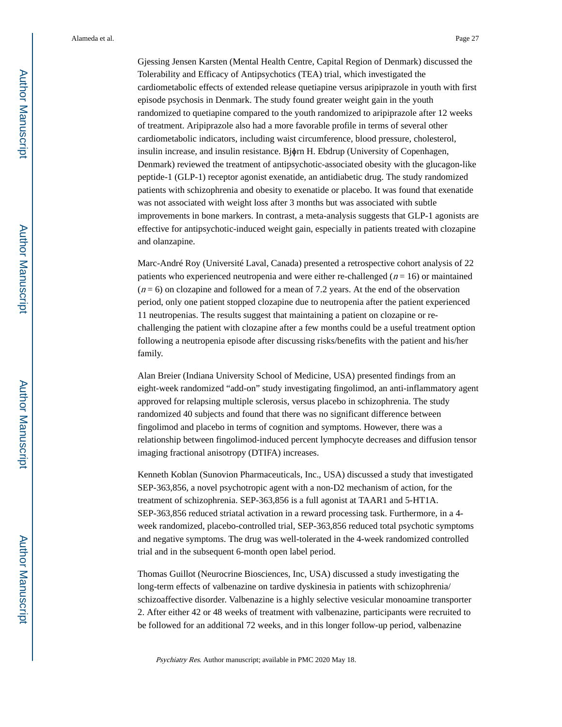Gjessing Jensen Karsten (Mental Health Centre, Capital Region of Denmark) discussed the Tolerability and Efficacy of Antipsychotics (TEA) trial, which investigated the cardiometabolic effects of extended release quetiapine versus aripiprazole in youth with first episode psychosis in Denmark. The study found greater weight gain in the youth randomized to quetiapine compared to the youth randomized to aripiprazole after 12 weeks of treatment. Aripiprazole also had a more favorable profile in terms of several other cardiometabolic indicators, including waist circumference, blood pressure, cholesterol, insulin increase, and insulin resistance. Bjϕrn H. Ebdrup (University of Copenhagen, Denmark) reviewed the treatment of antipsychotic-associated obesity with the glucagon-like peptide-1 (GLP-1) receptor agonist exenatide, an antidiabetic drug. The study randomized patients with schizophrenia and obesity to exenatide or placebo. It was found that exenatide was not associated with weight loss after 3 months but was associated with subtle improvements in bone markers. In contrast, a meta-analysis suggests that GLP-1 agonists are effective for antipsychotic-induced weight gain, especially in patients treated with clozapine and olanzapine.

Marc-André Roy (Université Laval, Canada) presented a retrospective cohort analysis of 22 patients who experienced neutropenia and were either re-challenged ( $n = 16$ ) or maintained  $(n=6)$  on clozapine and followed for a mean of 7.2 years. At the end of the observation period, only one patient stopped clozapine due to neutropenia after the patient experienced 11 neutropenias. The results suggest that maintaining a patient on clozapine or rechallenging the patient with clozapine after a few months could be a useful treatment option following a neutropenia episode after discussing risks/benefits with the patient and his/her family.

Alan Breier (Indiana University School of Medicine, USA) presented findings from an eight-week randomized "add-on" study investigating fingolimod, an anti-inflammatory agent approved for relapsing multiple sclerosis, versus placebo in schizophrenia. The study randomized 40 subjects and found that there was no significant difference between fingolimod and placebo in terms of cognition and symptoms. However, there was a relationship between fingolimod-induced percent lymphocyte decreases and diffusion tensor imaging fractional anisotropy (DTIFA) increases.

Kenneth Koblan (Sunovion Pharmaceuticals, Inc., USA) discussed a study that investigated SEP-363,856, a novel psychotropic agent with a non-D2 mechanism of action, for the treatment of schizophrenia. SEP-363,856 is a full agonist at TAAR1 and 5-HT1A. SEP-363,856 reduced striatal activation in a reward processing task. Furthermore, in a 4 week randomized, placebo-controlled trial, SEP-363,856 reduced total psychotic symptoms and negative symptoms. The drug was well-tolerated in the 4-week randomized controlled trial and in the subsequent 6-month open label period.

Thomas Guillot (Neurocrine Biosciences, Inc, USA) discussed a study investigating the long-term effects of valbenazine on tardive dyskinesia in patients with schizophrenia/ schizoaffective disorder. Valbenazine is a highly selective vesicular monoamine transporter 2. After either 42 or 48 weeks of treatment with valbenazine, participants were recruited to be followed for an additional 72 weeks, and in this longer follow-up period, valbenazine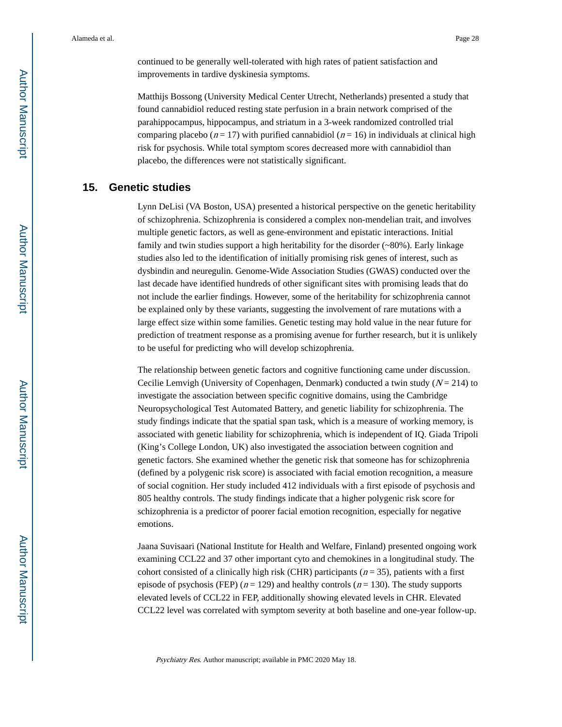continued to be generally well-tolerated with high rates of patient satisfaction and improvements in tardive dyskinesia symptoms.

Matthijs Bossong (University Medical Center Utrecht, Netherlands) presented a study that found cannabidiol reduced resting state perfusion in a brain network comprised of the parahippocampus, hippocampus, and striatum in a 3-week randomized controlled trial comparing placebo ( $n = 17$ ) with purified cannabidiol ( $n = 16$ ) in individuals at clinical high risk for psychosis. While total symptom scores decreased more with cannabidiol than placebo, the differences were not statistically significant.

#### **15. Genetic studies**

Lynn DeLisi (VA Boston, USA) presented a historical perspective on the genetic heritability of schizophrenia. Schizophrenia is considered a complex non-mendelian trait, and involves multiple genetic factors, as well as gene-environment and epistatic interactions. Initial family and twin studies support a high heritability for the disorder (~80%). Early linkage studies also led to the identification of initially promising risk genes of interest, such as dysbindin and neuregulin. Genome-Wide Association Studies (GWAS) conducted over the last decade have identified hundreds of other significant sites with promising leads that do not include the earlier findings. However, some of the heritability for schizophrenia cannot be explained only by these variants, suggesting the involvement of rare mutations with a large effect size within some families. Genetic testing may hold value in the near future for prediction of treatment response as a promising avenue for further research, but it is unlikely to be useful for predicting who will develop schizophrenia.

The relationship between genetic factors and cognitive functioning came under discussion. Cecilie Lemvigh (University of Copenhagen, Denmark) conducted a twin study  $(N = 214)$  to investigate the association between specific cognitive domains, using the Cambridge Neuropsychological Test Automated Battery, and genetic liability for schizophrenia. The study findings indicate that the spatial span task, which is a measure of working memory, is associated with genetic liability for schizophrenia, which is independent of IQ. Giada Tripoli (King's College London, UK) also investigated the association between cognition and genetic factors. She examined whether the genetic risk that someone has for schizophrenia (defined by a polygenic risk score) is associated with facial emotion recognition, a measure of social cognition. Her study included 412 individuals with a first episode of psychosis and 805 healthy controls. The study findings indicate that a higher polygenic risk score for schizophrenia is a predictor of poorer facial emotion recognition, especially for negative emotions.

Jaana Suvisaari (National Institute for Health and Welfare, Finland) presented ongoing work examining CCL22 and 37 other important cyto and chemokines in a longitudinal study. The cohort consisted of a clinically high risk (CHR) participants ( $n = 35$ ), patients with a first episode of psychosis (FEP) ( $n = 129$ ) and healthy controls ( $n = 130$ ). The study supports elevated levels of CCL22 in FEP, additionally showing elevated levels in CHR. Elevated CCL22 level was correlated with symptom severity at both baseline and one-year follow-up.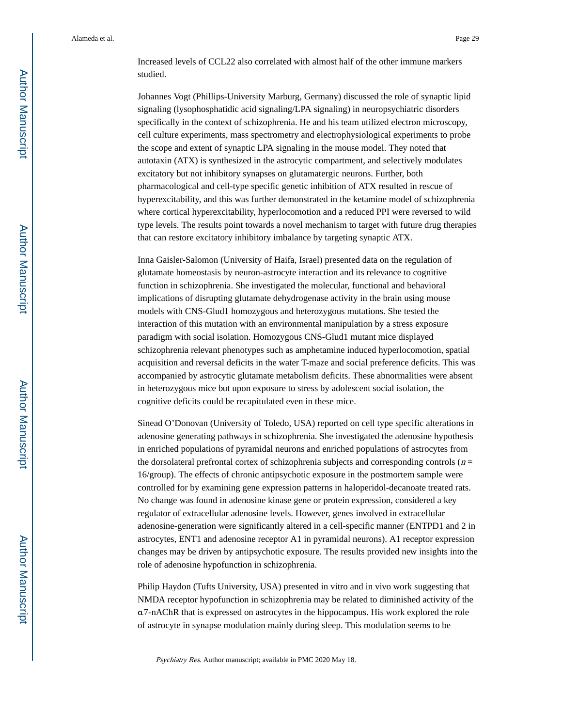Increased levels of CCL22 also correlated with almost half of the other immune markers studied.

Johannes Vogt (Phillips-University Marburg, Germany) discussed the role of synaptic lipid signaling (lysophosphatidic acid signaling/LPA signaling) in neuropsychiatric disorders specifically in the context of schizophrenia. He and his team utilized electron microscopy, cell culture experiments, mass spectrometry and electrophysiological experiments to probe the scope and extent of synaptic LPA signaling in the mouse model. They noted that autotaxin (ATX) is synthesized in the astrocytic compartment, and selectively modulates excitatory but not inhibitory synapses on glutamatergic neurons. Further, both pharmacological and cell-type specific genetic inhibition of ATX resulted in rescue of hyperexcitability, and this was further demonstrated in the ketamine model of schizophrenia where cortical hyperexcitability, hyperlocomotion and a reduced PPI were reversed to wild type levels. The results point towards a novel mechanism to target with future drug therapies that can restore excitatory inhibitory imbalance by targeting synaptic ATX.

Inna Gaisler-Salomon (University of Haifa, Israel) presented data on the regulation of glutamate homeostasis by neuron-astrocyte interaction and its relevance to cognitive function in schizophrenia. She investigated the molecular, functional and behavioral implications of disrupting glutamate dehydrogenase activity in the brain using mouse models with CNS-Glud1 homozygous and heterozygous mutations. She tested the interaction of this mutation with an environmental manipulation by a stress exposure paradigm with social isolation. Homozygous CNS-Glud1 mutant mice displayed schizophrenia relevant phenotypes such as amphetamine induced hyperlocomotion, spatial acquisition and reversal deficits in the water T-maze and social preference deficits. This was accompanied by astrocytic glutamate metabolism deficits. These abnormalities were absent in heterozygous mice but upon exposure to stress by adolescent social isolation, the cognitive deficits could be recapitulated even in these mice.

Sinead O'Donovan (University of Toledo, USA) reported on cell type specific alterations in adenosine generating pathways in schizophrenia. She investigated the adenosine hypothesis in enriched populations of pyramidal neurons and enriched populations of astrocytes from the dorsolateral prefrontal cortex of schizophrenia subjects and corresponding controls ( $n =$ 16/group). The effects of chronic antipsychotic exposure in the postmortem sample were controlled for by examining gene expression patterns in haloperidol-decanoate treated rats. No change was found in adenosine kinase gene or protein expression, considered a key regulator of extracellular adenosine levels. However, genes involved in extracellular adenosine-generation were significantly altered in a cell-specific manner (ENTPD1 and 2 in astrocytes, ENT1 and adenosine receptor A1 in pyramidal neurons). A1 receptor expression changes may be driven by antipsychotic exposure. The results provided new insights into the role of adenosine hypofunction in schizophrenia.

Philip Haydon (Tufts University, USA) presented in vitro and in vivo work suggesting that NMDA receptor hypofunction in schizophrenia may be related to diminished activity of the α7-nAChR that is expressed on astrocytes in the hippocampus. His work explored the role of astrocyte in synapse modulation mainly during sleep. This modulation seems to be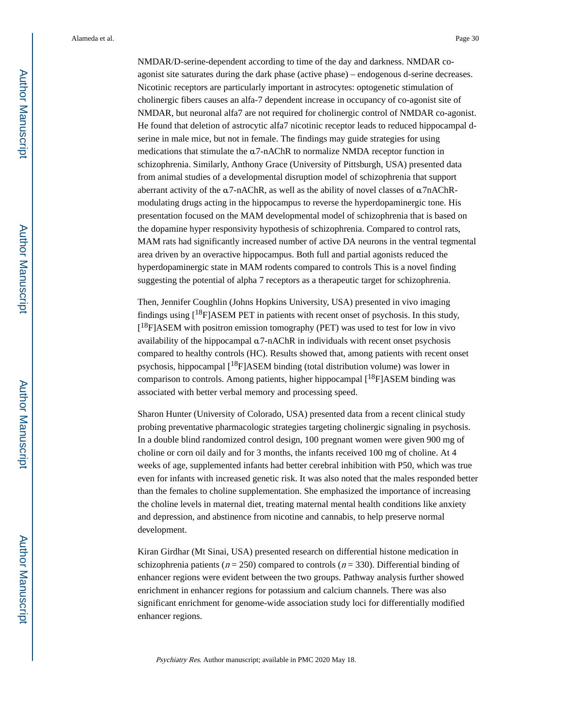NMDAR/D-serine-dependent according to time of the day and darkness. NMDAR coagonist site saturates during the dark phase (active phase) – endogenous d-serine decreases. Nicotinic receptors are particularly important in astrocytes: optogenetic stimulation of cholinergic fibers causes an alfa-7 dependent increase in occupancy of co-agonist site of NMDAR, but neuronal alfa7 are not required for cholinergic control of NMDAR co-agonist. He found that deletion of astrocytic alfa7 nicotinic receptor leads to reduced hippocampal dserine in male mice, but not in female. The findings may guide strategies for using medications that stimulate the α7-nAChR to normalize NMDA receptor function in schizophrenia. Similarly, Anthony Grace (University of Pittsburgh, USA) presented data from animal studies of a developmental disruption model of schizophrenia that support aberrant activity of the  $\alpha$ 7-nAChR, as well as the ability of novel classes of  $\alpha$ 7nAChRmodulating drugs acting in the hippocampus to reverse the hyperdopaminergic tone. His presentation focused on the MAM developmental model of schizophrenia that is based on the dopamine hyper responsivity hypothesis of schizophrenia. Compared to control rats, MAM rats had significantly increased number of active DA neurons in the ventral tegmental area driven by an overactive hippocampus. Both full and partial agonists reduced the hyperdopaminergic state in MAM rodents compared to controls This is a novel finding suggesting the potential of alpha 7 receptors as a therapeutic target for schizophrenia.

Then, Jennifer Coughlin (Johns Hopkins University, USA) presented in vivo imaging findings using  $[18F]$ ASEM PET in patients with recent onset of psychosis. In this study, [<sup>18</sup>F]ASEM with positron emission tomography (PET) was used to test for low in vivo availability of the hippocampal α7-nAChR in individuals with recent onset psychosis compared to healthy controls (HC). Results showed that, among patients with recent onset psychosis, hippocampal  $[18F]$ ASEM binding (total distribution volume) was lower in comparison to controls. Among patients, higher hippocampal [18F]ASEM binding was associated with better verbal memory and processing speed.

Sharon Hunter (University of Colorado, USA) presented data from a recent clinical study probing preventative pharmacologic strategies targeting cholinergic signaling in psychosis. In a double blind randomized control design, 100 pregnant women were given 900 mg of choline or corn oil daily and for 3 months, the infants received 100 mg of choline. At 4 weeks of age, supplemented infants had better cerebral inhibition with P50, which was true even for infants with increased genetic risk. It was also noted that the males responded better than the females to choline supplementation. She emphasized the importance of increasing the choline levels in maternal diet, treating maternal mental health conditions like anxiety and depression, and abstinence from nicotine and cannabis, to help preserve normal development.

Kiran Girdhar (Mt Sinai, USA) presented research on differential histone medication in schizophrenia patients ( $n = 250$ ) compared to controls ( $n = 330$ ). Differential binding of enhancer regions were evident between the two groups. Pathway analysis further showed enrichment in enhancer regions for potassium and calcium channels. There was also significant enrichment for genome-wide association study loci for differentially modified enhancer regions.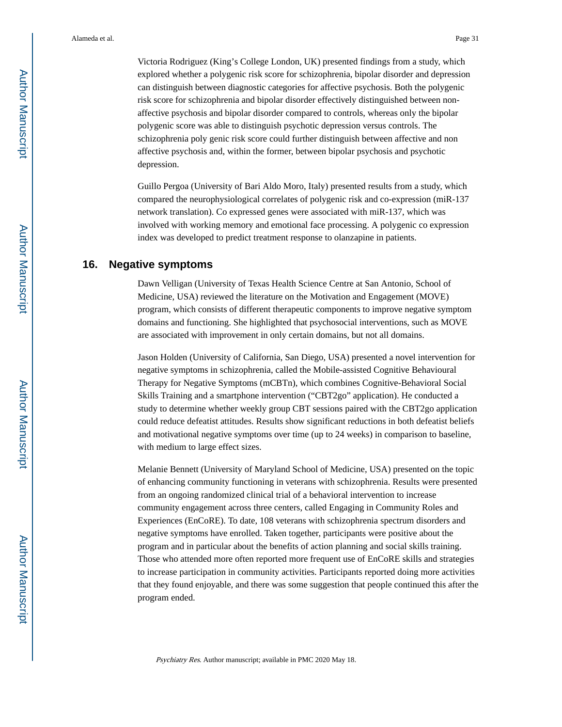Victoria Rodriguez (King's College London, UK) presented findings from a study, which explored whether a polygenic risk score for schizophrenia, bipolar disorder and depression can distinguish between diagnostic categories for affective psychosis. Both the polygenic risk score for schizophrenia and bipolar disorder effectively distinguished between nonaffective psychosis and bipolar disorder compared to controls, whereas only the bipolar polygenic score was able to distinguish psychotic depression versus controls. The schizophrenia poly genic risk score could further distinguish between affective and non affective psychosis and, within the former, between bipolar psychosis and psychotic depression.

Guillo Pergoa (University of Bari Aldo Moro, Italy) presented results from a study, which compared the neurophysiological correlates of polygenic risk and co-expression (miR-137 network translation). Co expressed genes were associated with miR-137, which was involved with working memory and emotional face processing. A polygenic co expression index was developed to predict treatment response to olanzapine in patients.

#### **16. Negative symptoms**

Dawn Velligan (University of Texas Health Science Centre at San Antonio, School of Medicine, USA) reviewed the literature on the Motivation and Engagement (MOVE) program, which consists of different therapeutic components to improve negative symptom domains and functioning. She highlighted that psychosocial interventions, such as MOVE are associated with improvement in only certain domains, but not all domains.

Jason Holden (University of California, San Diego, USA) presented a novel intervention for negative symptoms in schizophrenia, called the Mobile-assisted Cognitive Behavioural Therapy for Negative Symptoms (mCBTn), which combines Cognitive-Behavioral Social Skills Training and a smartphone intervention ("CBT2go" application). He conducted a study to determine whether weekly group CBT sessions paired with the CBT2go application could reduce defeatist attitudes. Results show significant reductions in both defeatist beliefs and motivational negative symptoms over time (up to 24 weeks) in comparison to baseline, with medium to large effect sizes.

Melanie Bennett (University of Maryland School of Medicine, USA) presented on the topic of enhancing community functioning in veterans with schizophrenia. Results were presented from an ongoing randomized clinical trial of a behavioral intervention to increase community engagement across three centers, called Engaging in Community Roles and Experiences (EnCoRE). To date, 108 veterans with schizophrenia spectrum disorders and negative symptoms have enrolled. Taken together, participants were positive about the program and in particular about the benefits of action planning and social skills training. Those who attended more often reported more frequent use of EnCoRE skills and strategies to increase participation in community activities. Participants reported doing more activities that they found enjoyable, and there was some suggestion that people continued this after the program ended.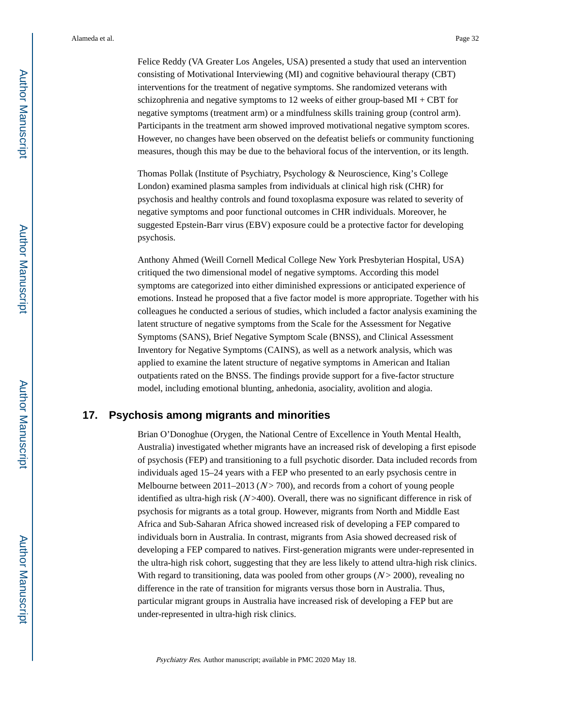Felice Reddy (VA Greater Los Angeles, USA) presented a study that used an intervention consisting of Motivational Interviewing (MI) and cognitive behavioural therapy (CBT) interventions for the treatment of negative symptoms. She randomized veterans with schizophrenia and negative symptoms to 12 weeks of either group-based MI + CBT for negative symptoms (treatment arm) or a mindfulness skills training group (control arm). Participants in the treatment arm showed improved motivational negative symptom scores. However, no changes have been observed on the defeatist beliefs or community functioning measures, though this may be due to the behavioral focus of the intervention, or its length.

Thomas Pollak (Institute of Psychiatry, Psychology & Neuroscience, King's College London) examined plasma samples from individuals at clinical high risk (CHR) for psychosis and healthy controls and found toxoplasma exposure was related to severity of negative symptoms and poor functional outcomes in CHR individuals. Moreover, he suggested Epstein-Barr virus (EBV) exposure could be a protective factor for developing psychosis.

Anthony Ahmed (Weill Cornell Medical College New York Presbyterian Hospital, USA) critiqued the two dimensional model of negative symptoms. According this model symptoms are categorized into either diminished expressions or anticipated experience of emotions. Instead he proposed that a five factor model is more appropriate. Together with his colleagues he conducted a serious of studies, which included a factor analysis examining the latent structure of negative symptoms from the Scale for the Assessment for Negative Symptoms (SANS), Brief Negative Symptom Scale (BNSS), and Clinical Assessment Inventory for Negative Symptoms (CAINS), as well as a network analysis, which was applied to examine the latent structure of negative symptoms in American and Italian outpatients rated on the BNSS. The findings provide support for a five-factor structure model, including emotional blunting, anhedonia, asociality, avolition and alogia.

#### **17. Psychosis among migrants and minorities**

Brian O'Donoghue (Orygen, the National Centre of Excellence in Youth Mental Health, Australia) investigated whether migrants have an increased risk of developing a first episode of psychosis (FEP) and transitioning to a full psychotic disorder. Data included records from individuals aged 15–24 years with a FEP who presented to an early psychosis centre in Melbourne between 2011–2013 ( $N > 700$ ), and records from a cohort of young people identified as ultra-high risk  $(N>400)$ . Overall, there was no significant difference in risk of psychosis for migrants as a total group. However, migrants from North and Middle East Africa and Sub-Saharan Africa showed increased risk of developing a FEP compared to individuals born in Australia. In contrast, migrants from Asia showed decreased risk of developing a FEP compared to natives. First-generation migrants were under-represented in the ultra-high risk cohort, suggesting that they are less likely to attend ultra-high risk clinics. With regard to transitioning, data was pooled from other groups  $(N > 2000)$ , revealing no difference in the rate of transition for migrants versus those born in Australia. Thus, particular migrant groups in Australia have increased risk of developing a FEP but are under-represented in ultra-high risk clinics.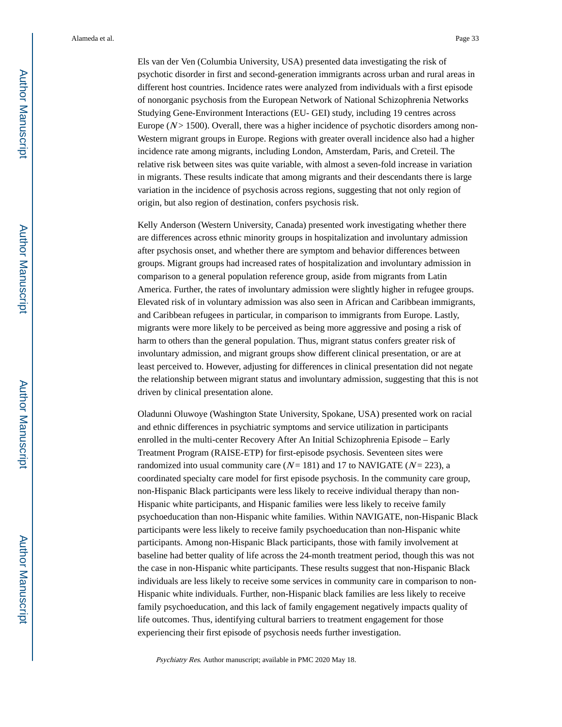Els van der Ven (Columbia University, USA) presented data investigating the risk of psychotic disorder in first and second-generation immigrants across urban and rural areas in different host countries. Incidence rates were analyzed from individuals with a first episode of nonorganic psychosis from the European Network of National Schizophrenia Networks Studying Gene-Environment Interactions (EU- GEI) study, including 19 centres across Europe  $(N > 1500)$ . Overall, there was a higher incidence of psychotic disorders among non-Western migrant groups in Europe. Regions with greater overall incidence also had a higher incidence rate among migrants, including London, Amsterdam, Paris, and Creteil. The relative risk between sites was quite variable, with almost a seven-fold increase in variation in migrants. These results indicate that among migrants and their descendants there is large variation in the incidence of psychosis across regions, suggesting that not only region of origin, but also region of destination, confers psychosis risk.

Kelly Anderson (Western University, Canada) presented work investigating whether there are differences across ethnic minority groups in hospitalization and involuntary admission after psychosis onset, and whether there are symptom and behavior differences between groups. Migrant groups had increased rates of hospitalization and involuntary admission in comparison to a general population reference group, aside from migrants from Latin America. Further, the rates of involuntary admission were slightly higher in refugee groups. Elevated risk of in voluntary admission was also seen in African and Caribbean immigrants, and Caribbean refugees in particular, in comparison to immigrants from Europe. Lastly, migrants were more likely to be perceived as being more aggressive and posing a risk of harm to others than the general population. Thus, migrant status confers greater risk of involuntary admission, and migrant groups show different clinical presentation, or are at least perceived to. However, adjusting for differences in clinical presentation did not negate the relationship between migrant status and involuntary admission, suggesting that this is not driven by clinical presentation alone.

Oladunni Oluwoye (Washington State University, Spokane, USA) presented work on racial and ethnic differences in psychiatric symptoms and service utilization in participants enrolled in the multi-center Recovery After An Initial Schizophrenia Episode – Early Treatment Program (RAISE-ETP) for first-episode psychosis. Seventeen sites were randomized into usual community care ( $N = 181$ ) and 17 to NAVIGATE ( $N = 223$ ), a coordinated specialty care model for first episode psychosis. In the community care group, non-Hispanic Black participants were less likely to receive individual therapy than non-Hispanic white participants, and Hispanic families were less likely to receive family psychoeducation than non-Hispanic white families. Within NAVIGATE, non-Hispanic Black participants were less likely to receive family psychoeducation than non-Hispanic white participants. Among non-Hispanic Black participants, those with family involvement at baseline had better quality of life across the 24-month treatment period, though this was not the case in non-Hispanic white participants. These results suggest that non-Hispanic Black individuals are less likely to receive some services in community care in comparison to non-Hispanic white individuals. Further, non-Hispanic black families are less likely to receive family psychoeducation, and this lack of family engagement negatively impacts quality of life outcomes. Thus, identifying cultural barriers to treatment engagement for those experiencing their first episode of psychosis needs further investigation.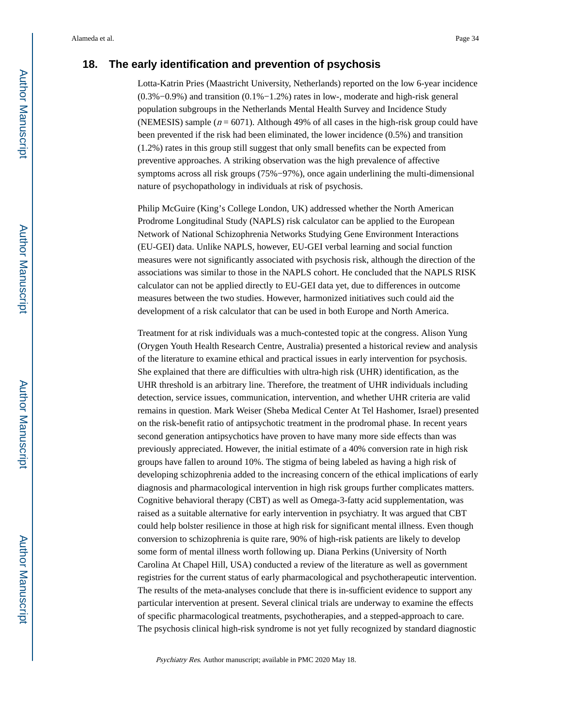#### **18. The early identification and prevention of psychosis**

Lotta-Katrin Pries (Maastricht University, Netherlands) reported on the low 6-year incidence (0.3%−0.9%) and transition (0.1%−1.2%) rates in low-, moderate and high-risk general population subgroups in the Netherlands Mental Health Survey and Incidence Study (NEMESIS) sample ( $n = 6071$ ). Although 49% of all cases in the high-risk group could have been prevented if the risk had been eliminated, the lower incidence (0.5%) and transition (1.2%) rates in this group still suggest that only small benefits can be expected from preventive approaches. A striking observation was the high prevalence of affective symptoms across all risk groups (75%−97%), once again underlining the multi-dimensional nature of psychopathology in individuals at risk of psychosis.

Philip McGuire (King's College London, UK) addressed whether the North American Prodrome Longitudinal Study (NAPLS) risk calculator can be applied to the European Network of National Schizophrenia Networks Studying Gene Environment Interactions (EU-GEI) data. Unlike NAPLS, however, EU-GEI verbal learning and social function measures were not significantly associated with psychosis risk, although the direction of the associations was similar to those in the NAPLS cohort. He concluded that the NAPLS RISK calculator can not be applied directly to EU-GEI data yet, due to differences in outcome measures between the two studies. However, harmonized initiatives such could aid the development of a risk calculator that can be used in both Europe and North America.

Treatment for at risk individuals was a much-contested topic at the congress. Alison Yung (Orygen Youth Health Research Centre, Australia) presented a historical review and analysis of the literature to examine ethical and practical issues in early intervention for psychosis. She explained that there are difficulties with ultra-high risk (UHR) identification, as the UHR threshold is an arbitrary line. Therefore, the treatment of UHR individuals including detection, service issues, communication, intervention, and whether UHR criteria are valid remains in question. Mark Weiser (Sheba Medical Center At Tel Hashomer, Israel) presented on the risk-benefit ratio of antipsychotic treatment in the prodromal phase. In recent years second generation antipsychotics have proven to have many more side effects than was previously appreciated. However, the initial estimate of a 40% conversion rate in high risk groups have fallen to around 10%. The stigma of being labeled as having a high risk of developing schizophrenia added to the increasing concern of the ethical implications of early diagnosis and pharmacological intervention in high risk groups further complicates matters. Cognitive behavioral therapy (CBT) as well as Omega-3-fatty acid supplementation, was raised as a suitable alternative for early intervention in psychiatry. It was argued that CBT could help bolster resilience in those at high risk for significant mental illness. Even though conversion to schizophrenia is quite rare, 90% of high-risk patients are likely to develop some form of mental illness worth following up. Diana Perkins (University of North Carolina At Chapel Hill, USA) conducted a review of the literature as well as government registries for the current status of early pharmacological and psychotherapeutic intervention. The results of the meta-analyses conclude that there is in-sufficient evidence to support any particular intervention at present. Several clinical trials are underway to examine the effects of specific pharmacological treatments, psychotherapies, and a stepped-approach to care. The psychosis clinical high-risk syndrome is not yet fully recognized by standard diagnostic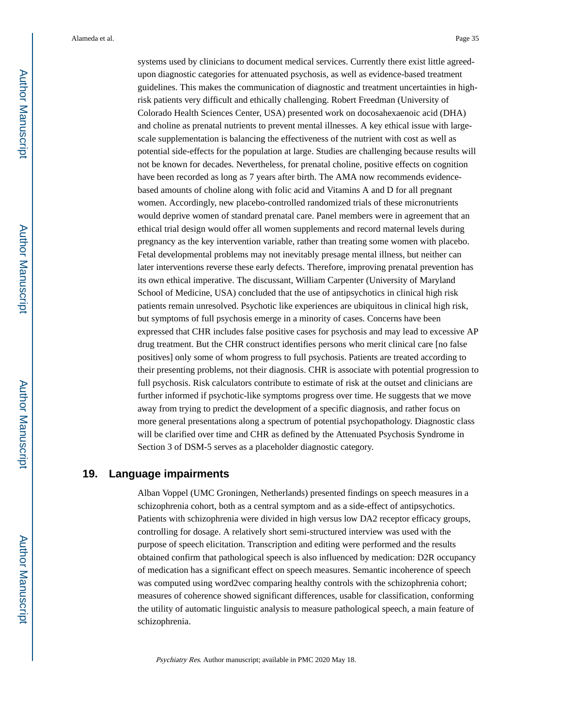systems used by clinicians to document medical services. Currently there exist little agreedupon diagnostic categories for attenuated psychosis, as well as evidence-based treatment guidelines. This makes the communication of diagnostic and treatment uncertainties in highrisk patients very difficult and ethically challenging. Robert Freedman (University of Colorado Health Sciences Center, USA) presented work on docosahexaenoic acid (DHA) and choline as prenatal nutrients to prevent mental illnesses. A key ethical issue with largescale supplementation is balancing the effectiveness of the nutrient with cost as well as potential side-effects for the population at large. Studies are challenging because results will not be known for decades. Nevertheless, for prenatal choline, positive effects on cognition have been recorded as long as 7 years after birth. The AMA now recommends evidencebased amounts of choline along with folic acid and Vitamins A and D for all pregnant women. Accordingly, new placebo-controlled randomized trials of these micronutrients would deprive women of standard prenatal care. Panel members were in agreement that an ethical trial design would offer all women supplements and record maternal levels during pregnancy as the key intervention variable, rather than treating some women with placebo. Fetal developmental problems may not inevitably presage mental illness, but neither can later interventions reverse these early defects. Therefore, improving prenatal prevention has its own ethical imperative. The discussant, William Carpenter (University of Maryland School of Medicine, USA) concluded that the use of antipsychotics in clinical high risk patients remain unresolved. Psychotic like experiences are ubiquitous in clinical high risk, but symptoms of full psychosis emerge in a minority of cases. Concerns have been expressed that CHR includes false positive cases for psychosis and may lead to excessive AP drug treatment. But the CHR construct identifies persons who merit clinical care [no false positives] only some of whom progress to full psychosis. Patients are treated according to their presenting problems, not their diagnosis. CHR is associate with potential progression to full psychosis. Risk calculators contribute to estimate of risk at the outset and clinicians are further informed if psychotic-like symptoms progress over time. He suggests that we move away from trying to predict the development of a specific diagnosis, and rather focus on more general presentations along a spectrum of potential psychopathology. Diagnostic class will be clarified over time and CHR as defined by the Attenuated Psychosis Syndrome in Section 3 of DSM-5 serves as a placeholder diagnostic category.

#### **19. Language impairments**

Alban Voppel (UMC Groningen, Netherlands) presented findings on speech measures in a schizophrenia cohort, both as a central symptom and as a side-effect of antipsychotics. Patients with schizophrenia were divided in high versus low DA2 receptor efficacy groups, controlling for dosage. A relatively short semi-structured interview was used with the purpose of speech elicitation. Transcription and editing were performed and the results obtained confirm that pathological speech is also influenced by medication: D2R occupancy of medication has a significant effect on speech measures. Semantic incoherence of speech was computed using word2vec comparing healthy controls with the schizophrenia cohort; measures of coherence showed significant differences, usable for classification, conforming the utility of automatic linguistic analysis to measure pathological speech, a main feature of schizophrenia.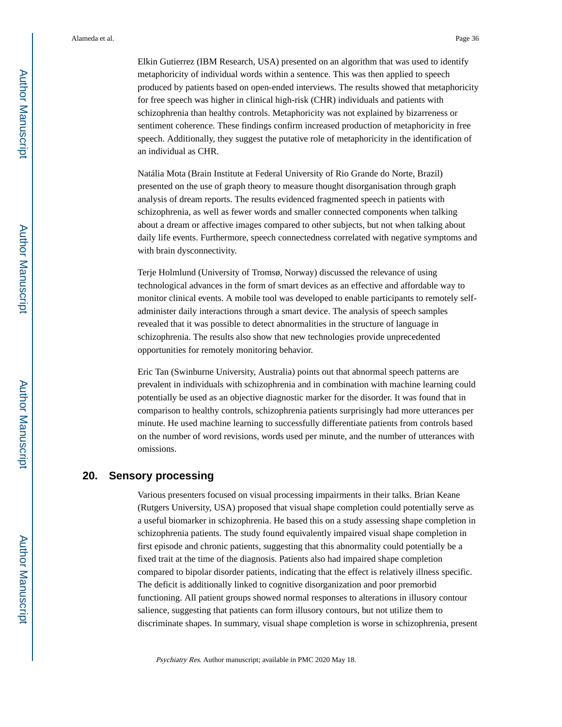Elkin Gutierrez (IBM Research, USA) presented on an algorithm that was used to identify metaphoricity of individual words within a sentence. This was then applied to speech produced by patients based on open-ended interviews. The results showed that metaphoricity for free speech was higher in clinical high-risk (CHR) individuals and patients with schizophrenia than healthy controls. Metaphoricity was not explained by bizarreness or sentiment coherence. These findings confirm increased production of metaphoricity in free speech. Additionally, they suggest the putative role of metaphoricity in the identification of an individual as CHR.

Natália Mota (Brain Institute at Federal University of Rio Grande do Norte, Brazil) presented on the use of graph theory to measure thought disorganisation through graph analysis of dream reports. The results evidenced fragmented speech in patients with schizophrenia, as well as fewer words and smaller connected components when talking about a dream or affective images compared to other subjects, but not when talking about daily life events. Furthermore, speech connectedness correlated with negative symptoms and with brain dysconnectivity.

Terje Holmlund (University of Tromsø, Norway) discussed the relevance of using technological advances in the form of smart devices as an effective and affordable way to monitor clinical events. A mobile tool was developed to enable participants to remotely selfadminister daily interactions through a smart device. The analysis of speech samples revealed that it was possible to detect abnormalities in the structure of language in schizophrenia. The results also show that new technologies provide unprecedented opportunities for remotely monitoring behavior.

Eric Tan (Swinburne University, Australia) points out that abnormal speech patterns are prevalent in individuals with schizophrenia and in combination with machine learning could potentially be used as an objective diagnostic marker for the disorder. It was found that in comparison to healthy controls, schizophrenia patients surprisingly had more utterances per minute. He used machine learning to successfully differentiate patients from controls based on the number of word revisions, words used per minute, and the number of utterances with omissions.

#### **20. Sensory processing**

Various presenters focused on visual processing impairments in their talks. Brian Keane (Rutgers University, USA) proposed that visual shape completion could potentially serve as a useful biomarker in schizophrenia. He based this on a study assessing shape completion in schizophrenia patients. The study found equivalently impaired visual shape completion in first episode and chronic patients, suggesting that this abnormality could potentially be a fixed trait at the time of the diagnosis. Patients also had impaired shape completion compared to bipolar disorder patients, indicating that the effect is relatively illness specific. The deficit is additionally linked to cognitive disorganization and poor premorbid functioning. All patient groups showed normal responses to alterations in illusory contour salience, suggesting that patients can form illusory contours, but not utilize them to discriminate shapes. In summary, visual shape completion is worse in schizophrenia, present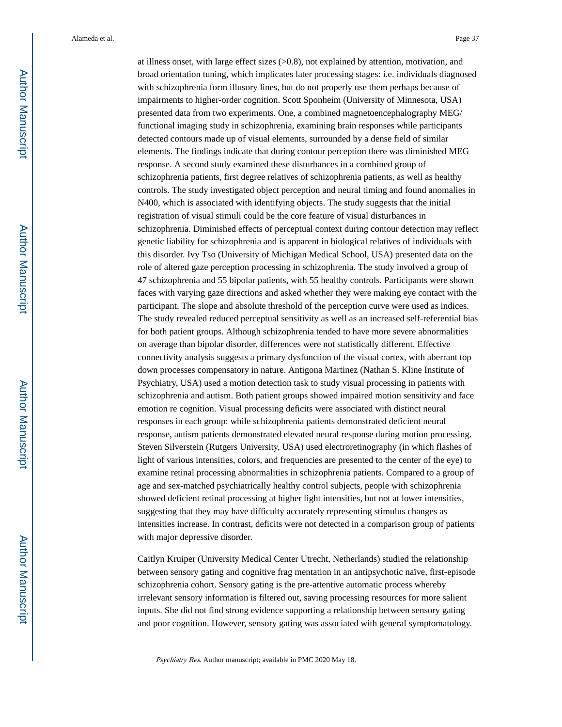at illness onset, with large effect sizes  $(0.8)$ , not explained by attention, motivation, and broad orientation tuning, which implicates later processing stages: i.e. individuals diagnosed with schizophrenia form illusory lines, but do not properly use them perhaps because of impairments to higher-order cognition. Scott Sponheim (University of Minnesota, USA) presented data from two experiments. One, a combined magnetoencephalography MEG/ functional imaging study in schizophrenia, examining brain responses while participants detected contours made up of visual elements, surrounded by a dense field of similar elements. The findings indicate that during contour perception there was diminished MEG response. A second study examined these disturbances in a combined group of schizophrenia patients, first degree relatives of schizophrenia patients, as well as healthy controls. The study investigated object perception and neural timing and found anomalies in N400, which is associated with identifying objects. The study suggests that the initial registration of visual stimuli could be the core feature of visual disturbances in schizophrenia. Diminished effects of perceptual context during contour detection may reflect genetic liability for schizophrenia and is apparent in biological relatives of individuals with this disorder. Ivy Tso (University of Michigan Medical School, USA) presented data on the role of altered gaze perception processing in schizophrenia. The study involved a group of 47 schizophrenia and 55 bipolar patients, with 55 healthy controls. Participants were shown faces with varying gaze directions and asked whether they were making eye contact with the participant. The slope and absolute threshold of the perception curve were used as indices. The study revealed reduced perceptual sensitivity as well as an increased self-referential bias for both patient groups. Although schizophrenia tended to have more severe abnormalities on average than bipolar disorder, differences were not statistically different. Effective connectivity analysis suggests a primary dysfunction of the visual cortex, with aberrant top down processes compensatory in nature. Antigona Martinez (Nathan S. Kline Institute of Psychiatry, USA) used a motion detection task to study visual processing in patients with schizophrenia and autism. Both patient groups showed impaired motion sensitivity and face emotion re cognition. Visual processing deficits were associated with distinct neural responses in each group: while schizophrenia patients demonstrated deficient neural response, autism patients demonstrated elevated neural response during motion processing. Steven Silverstein (Rutgers University, USA) used electroretinography (in which flashes of light of various intensities, colors, and frequencies are presented to the center of the eye) to examine retinal processing abnormalities in schizophrenia patients. Compared to a group of age and sex-matched psychiatrically healthy control subjects, people with schizophrenia showed deficient retinal processing at higher light intensities, but not at lower intensities, suggesting that they may have difficulty accurately representing stimulus changes as intensities increase. In contrast, deficits were not detected in a comparison group of patients with major depressive disorder.

Caitlyn Kruiper (University Medical Center Utrecht, Netherlands) studied the relationship between sensory gating and cognitive frag mentation in an antipsychotic naïve, first-episode schizophrenia cohort. Sensory gating is the pre-attentive automatic process whereby irrelevant sensory information is filtered out, saving processing resources for more salient inputs. She did not find strong evidence supporting a relationship between sensory gating and poor cognition. However, sensory gating was associated with general symptomatology.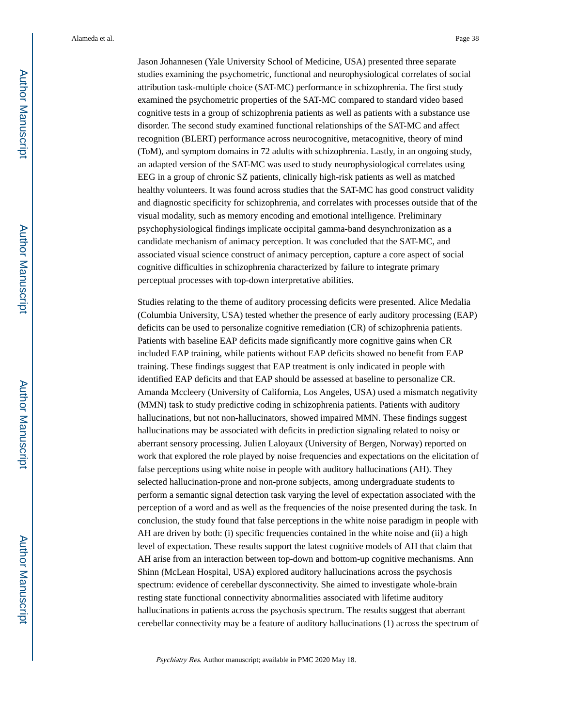Jason Johannesen (Yale University School of Medicine, USA) presented three separate studies examining the psychometric, functional and neurophysiological correlates of social attribution task-multiple choice (SAT-MC) performance in schizophrenia. The first study examined the psychometric properties of the SAT-MC compared to standard video based cognitive tests in a group of schizophrenia patients as well as patients with a substance use disorder. The second study examined functional relationships of the SAT-MC and affect recognition (BLERT) performance across neurocognitive, metacognitive, theory of mind (ToM), and symptom domains in 72 adults with schizophrenia. Lastly, in an ongoing study, an adapted version of the SAT-MC was used to study neurophysiological correlates using EEG in a group of chronic SZ patients, clinically high-risk patients as well as matched healthy volunteers. It was found across studies that the SAT-MC has good construct validity and diagnostic specificity for schizophrenia, and correlates with processes outside that of the visual modality, such as memory encoding and emotional intelligence. Preliminary psychophysiological findings implicate occipital gamma-band desynchronization as a candidate mechanism of animacy perception. It was concluded that the SAT-MC, and associated visual science construct of animacy perception, capture a core aspect of social cognitive difficulties in schizophrenia characterized by failure to integrate primary perceptual processes with top-down interpretative abilities.

Studies relating to the theme of auditory processing deficits were presented. Alice Medalia (Columbia University, USA) tested whether the presence of early auditory processing (EAP) deficits can be used to personalize cognitive remediation (CR) of schizophrenia patients. Patients with baseline EAP deficits made significantly more cognitive gains when CR included EAP training, while patients without EAP deficits showed no benefit from EAP training. These findings suggest that EAP treatment is only indicated in people with identified EAP deficits and that EAP should be assessed at baseline to personalize CR. Amanda Mccleery (University of California, Los Angeles, USA) used a mismatch negativity (MMN) task to study predictive coding in schizophrenia patients. Patients with auditory hallucinations, but not non-hallucinators, showed impaired MMN. These findings suggest hallucinations may be associated with deficits in prediction signaling related to noisy or aberrant sensory processing. Julien Laloyaux (University of Bergen, Norway) reported on work that explored the role played by noise frequencies and expectations on the elicitation of false perceptions using white noise in people with auditory hallucinations (AH). They selected hallucination-prone and non-prone subjects, among undergraduate students to perform a semantic signal detection task varying the level of expectation associated with the perception of a word and as well as the frequencies of the noise presented during the task. In conclusion, the study found that false perceptions in the white noise paradigm in people with AH are driven by both: (i) specific frequencies contained in the white noise and (ii) a high level of expectation. These results support the latest cognitive models of AH that claim that AH arise from an interaction between top-down and bottom-up cognitive mechanisms. Ann Shinn (McLean Hospital, USA) explored auditory hallucinations across the psychosis spectrum: evidence of cerebellar dysconnectivity. She aimed to investigate whole-brain resting state functional connectivity abnormalities associated with lifetime auditory hallucinations in patients across the psychosis spectrum. The results suggest that aberrant cerebellar connectivity may be a feature of auditory hallucinations (1) across the spectrum of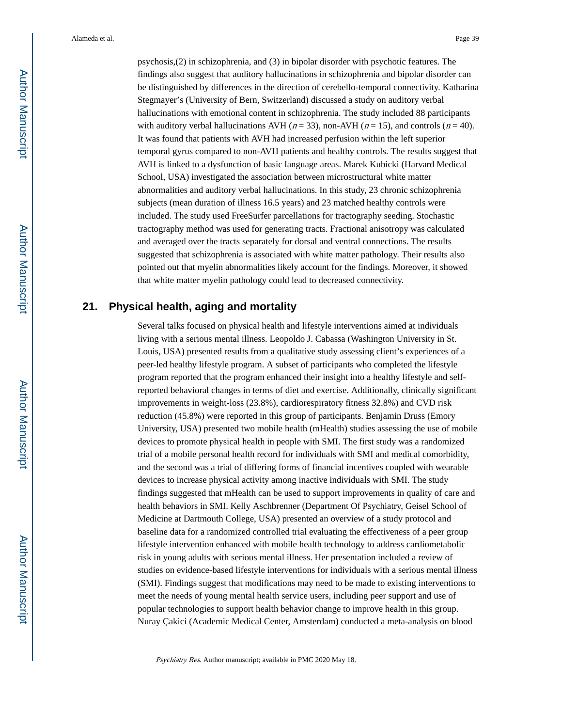psychosis,(2) in schizophrenia, and (3) in bipolar disorder with psychotic features. The findings also suggest that auditory hallucinations in schizophrenia and bipolar disorder can be distinguished by differences in the direction of cerebello-temporal connectivity. Katharina Stegmayer's (University of Bern, Switzerland) discussed a study on auditory verbal hallucinations with emotional content in schizophrenia. The study included 88 participants with auditory verbal hallucinations AVH ( $n = 33$ ), non-AVH ( $n = 15$ ), and controls ( $n = 40$ ). It was found that patients with AVH had increased perfusion within the left superior temporal gyrus compared to non-AVH patients and healthy controls. The results suggest that AVH is linked to a dysfunction of basic language areas. Marek Kubicki (Harvard Medical School, USA) investigated the association between microstructural white matter abnormalities and auditory verbal hallucinations. In this study, 23 chronic schizophrenia subjects (mean duration of illness 16.5 years) and 23 matched healthy controls were included. The study used FreeSurfer parcellations for tractography seeding. Stochastic tractography method was used for generating tracts. Fractional anisotropy was calculated and averaged over the tracts separately for dorsal and ventral connections. The results suggested that schizophrenia is associated with white matter pathology. Their results also pointed out that myelin abnormalities likely account for the findings. Moreover, it showed that white matter myelin pathology could lead to decreased connectivity.

#### **21. Physical health, aging and mortality**

Several talks focused on physical health and lifestyle interventions aimed at individuals living with a serious mental illness. Leopoldo J. Cabassa (Washington University in St. Louis, USA) presented results from a qualitative study assessing client's experiences of a peer-led healthy lifestyle program. A subset of participants who completed the lifestyle program reported that the program enhanced their insight into a healthy lifestyle and selfreported behavioral changes in terms of diet and exercise. Additionally, clinically significant improvements in weight-loss (23.8%), cardiorespiratory fitness 32.8%) and CVD risk reduction (45.8%) were reported in this group of participants. Benjamin Druss (Emory University, USA) presented two mobile health (mHealth) studies assessing the use of mobile devices to promote physical health in people with SMI. The first study was a randomized trial of a mobile personal health record for individuals with SMI and medical comorbidity, and the second was a trial of differing forms of financial incentives coupled with wearable devices to increase physical activity among inactive individuals with SMI. The study findings suggested that mHealth can be used to support improvements in quality of care and health behaviors in SMI. Kelly Aschbrenner (Department Of Psychiatry, Geisel School of Medicine at Dartmouth College, USA) presented an overview of a study protocol and baseline data for a randomized controlled trial evaluating the effectiveness of a peer group lifestyle intervention enhanced with mobile health technology to address cardiometabolic risk in young adults with serious mental illness. Her presentation included a review of studies on evidence-based lifestyle interventions for individuals with a serious mental illness (SMI). Findings suggest that modifications may need to be made to existing interventions to meet the needs of young mental health service users, including peer support and use of popular technologies to support health behavior change to improve health in this group. Nuray Çakici (Academic Medical Center, Amsterdam) conducted a meta-analysis on blood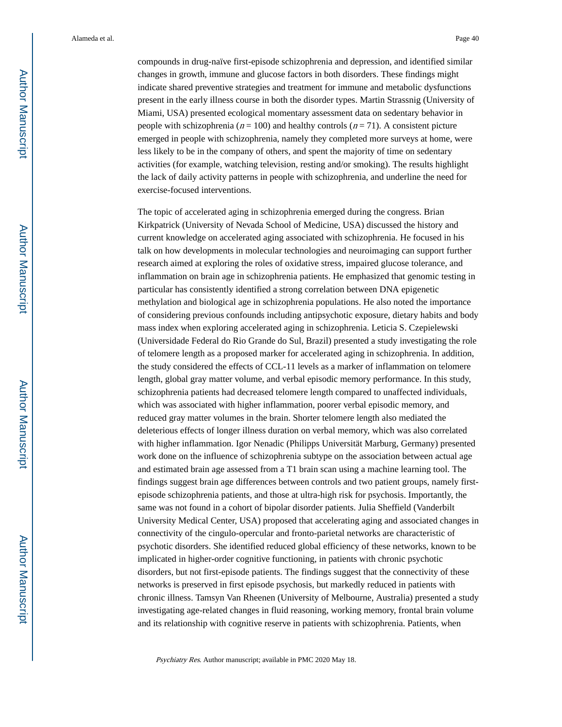compounds in drug-naïve first-episode schizophrenia and depression, and identified similar changes in growth, immune and glucose factors in both disorders. These findings might indicate shared preventive strategies and treatment for immune and metabolic dysfunctions present in the early illness course in both the disorder types. Martin Strassnig (University of Miami, USA) presented ecological momentary assessment data on sedentary behavior in people with schizophrenia ( $n = 100$ ) and healthy controls ( $n = 71$ ). A consistent picture emerged in people with schizophrenia, namely they completed more surveys at home, were less likely to be in the company of others, and spent the majority of time on sedentary activities (for example, watching television, resting and/or smoking). The results highlight the lack of daily activity patterns in people with schizophrenia, and underline the need for exercise-focused interventions.

The topic of accelerated aging in schizophrenia emerged during the congress. Brian Kirkpatrick (University of Nevada School of Medicine, USA) discussed the history and current knowledge on accelerated aging associated with schizophrenia. He focused in his talk on how developments in molecular technologies and neuroimaging can support further research aimed at exploring the roles of oxidative stress, impaired glucose tolerance, and inflammation on brain age in schizophrenia patients. He emphasized that genomic testing in particular has consistently identified a strong correlation between DNA epigenetic methylation and biological age in schizophrenia populations. He also noted the importance of considering previous confounds including antipsychotic exposure, dietary habits and body mass index when exploring accelerated aging in schizophrenia. Leticia S. Czepielewski (Universidade Federal do Rio Grande do Sul, Brazil) presented a study investigating the role of telomere length as a proposed marker for accelerated aging in schizophrenia. In addition, the study considered the effects of CCL-11 levels as a marker of inflammation on telomere length, global gray matter volume, and verbal episodic memory performance. In this study, schizophrenia patients had decreased telomere length compared to unaffected individuals, which was associated with higher inflammation, poorer verbal episodic memory, and reduced gray matter volumes in the brain. Shorter telomere length also mediated the deleterious effects of longer illness duration on verbal memory, which was also correlated with higher inflammation. Igor Nenadic (Philipps Universität Marburg, Germany) presented work done on the influence of schizophrenia subtype on the association between actual age and estimated brain age assessed from a T1 brain scan using a machine learning tool. The findings suggest brain age differences between controls and two patient groups, namely firstepisode schizophrenia patients, and those at ultra-high risk for psychosis. Importantly, the same was not found in a cohort of bipolar disorder patients. Julia Sheffield (Vanderbilt University Medical Center, USA) proposed that accelerating aging and associated changes in connectivity of the cingulo-opercular and fronto-parietal networks are characteristic of psychotic disorders. She identified reduced global efficiency of these networks, known to be implicated in higher-order cognitive functioning, in patients with chronic psychotic disorders, but not first-episode patients. The findings suggest that the connectivity of these networks is preserved in first episode psychosis, but markedly reduced in patients with chronic illness. Tamsyn Van Rheenen (University of Melbourne, Australia) presented a study investigating age-related changes in fluid reasoning, working memory, frontal brain volume and its relationship with cognitive reserve in patients with schizophrenia. Patients, when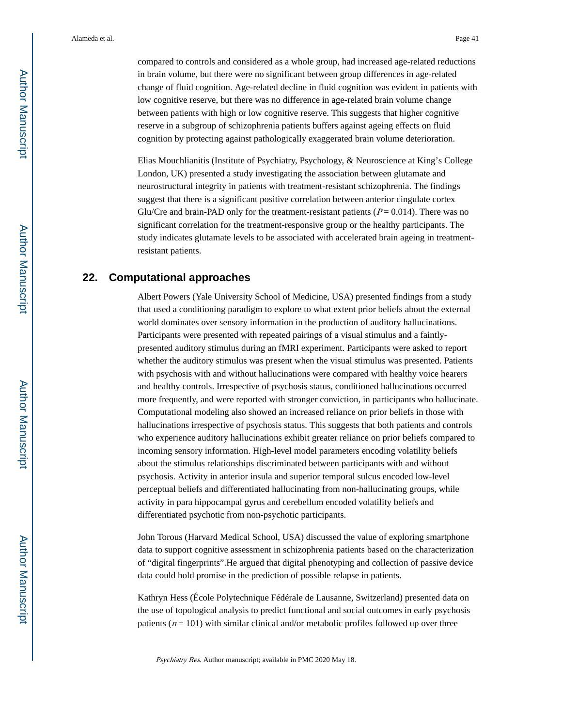compared to controls and considered as a whole group, had increased age-related reductions in brain volume, but there were no significant between group differences in age-related change of fluid cognition. Age-related decline in fluid cognition was evident in patients with low cognitive reserve, but there was no difference in age-related brain volume change between patients with high or low cognitive reserve. This suggests that higher cognitive reserve in a subgroup of schizophrenia patients buffers against ageing effects on fluid cognition by protecting against pathologically exaggerated brain volume deterioration.

Elias Mouchlianitis (Institute of Psychiatry, Psychology, & Neuroscience at King's College London, UK) presented a study investigating the association between glutamate and neurostructural integrity in patients with treatment-resistant schizophrenia. The findings suggest that there is a significant positive correlation between anterior cingulate cortex Glu/Cre and brain-PAD only for the treatment-resistant patients ( $P = 0.014$ ). There was no significant correlation for the treatment-responsive group or the healthy participants. The study indicates glutamate levels to be associated with accelerated brain ageing in treatmentresistant patients.

#### **22. Computational approaches**

Albert Powers (Yale University School of Medicine, USA) presented findings from a study that used a conditioning paradigm to explore to what extent prior beliefs about the external world dominates over sensory information in the production of auditory hallucinations. Participants were presented with repeated pairings of a visual stimulus and a faintlypresented auditory stimulus during an fMRI experiment. Participants were asked to report whether the auditory stimulus was present when the visual stimulus was presented. Patients with psychosis with and without hallucinations were compared with healthy voice hearers and healthy controls. Irrespective of psychosis status, conditioned hallucinations occurred more frequently, and were reported with stronger conviction, in participants who hallucinate. Computational modeling also showed an increased reliance on prior beliefs in those with hallucinations irrespective of psychosis status. This suggests that both patients and controls who experience auditory hallucinations exhibit greater reliance on prior beliefs compared to incoming sensory information. High-level model parameters encoding volatility beliefs about the stimulus relationships discriminated between participants with and without psychosis. Activity in anterior insula and superior temporal sulcus encoded low-level perceptual beliefs and differentiated hallucinating from non-hallucinating groups, while activity in para hippocampal gyrus and cerebellum encoded volatility beliefs and differentiated psychotic from non-psychotic participants.

John Torous (Harvard Medical School, USA) discussed the value of exploring smartphone data to support cognitive assessment in schizophrenia patients based on the characterization of "digital fingerprints".He argued that digital phenotyping and collection of passive device data could hold promise in the prediction of possible relapse in patients.

Kathryn Hess (École Polytechnique Fédérale de Lausanne, Switzerland) presented data on the use of topological analysis to predict functional and social outcomes in early psychosis patients ( $n = 101$ ) with similar clinical and/or metabolic profiles followed up over three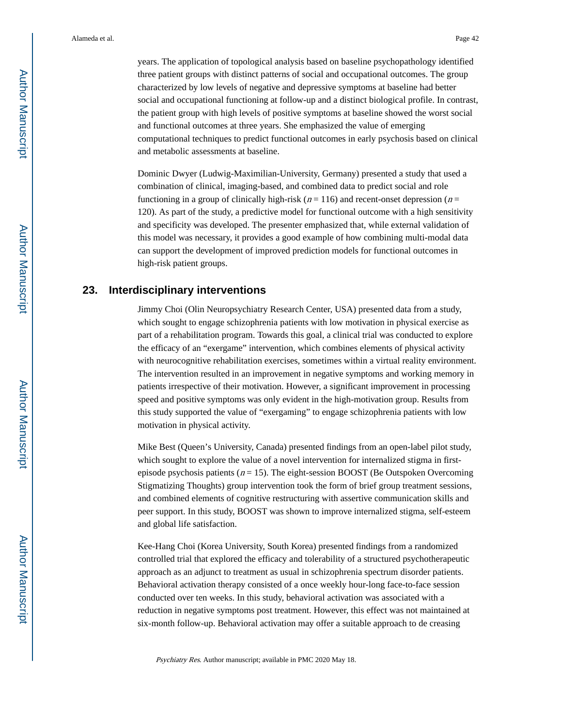years. The application of topological analysis based on baseline psychopathology identified three patient groups with distinct patterns of social and occupational outcomes. The group characterized by low levels of negative and depressive symptoms at baseline had better social and occupational functioning at follow-up and a distinct biological profile. In contrast, the patient group with high levels of positive symptoms at baseline showed the worst social and functional outcomes at three years. She emphasized the value of emerging computational techniques to predict functional outcomes in early psychosis based on clinical and metabolic assessments at baseline.

Dominic Dwyer (Ludwig-Maximilian-University, Germany) presented a study that used a combination of clinical, imaging-based, and combined data to predict social and role functioning in a group of clinically high-risk ( $n = 116$ ) and recent-onset depression ( $n =$ 120). As part of the study, a predictive model for functional outcome with a high sensitivity and specificity was developed. The presenter emphasized that, while external validation of this model was necessary, it provides a good example of how combining multi-modal data can support the development of improved prediction models for functional outcomes in high-risk patient groups.

#### **23. Interdisciplinary interventions**

Jimmy Choi (Olin Neuropsychiatry Research Center, USA) presented data from a study, which sought to engage schizophrenia patients with low motivation in physical exercise as part of a rehabilitation program. Towards this goal, a clinical trial was conducted to explore the efficacy of an "exergame" intervention, which combines elements of physical activity with neurocognitive rehabilitation exercises, sometimes within a virtual reality environment. The intervention resulted in an improvement in negative symptoms and working memory in patients irrespective of their motivation. However, a significant improvement in processing speed and positive symptoms was only evident in the high-motivation group. Results from this study supported the value of "exergaming" to engage schizophrenia patients with low motivation in physical activity.

Mike Best (Queen's University, Canada) presented findings from an open-label pilot study, which sought to explore the value of a novel intervention for internalized stigma in firstepisode psychosis patients ( $n = 15$ ). The eight-session BOOST (Be Outspoken Overcoming Stigmatizing Thoughts) group intervention took the form of brief group treatment sessions, and combined elements of cognitive restructuring with assertive communication skills and peer support. In this study, BOOST was shown to improve internalized stigma, self-esteem and global life satisfaction.

Kee-Hang Choi (Korea University, South Korea) presented findings from a randomized controlled trial that explored the efficacy and tolerability of a structured psychotherapeutic approach as an adjunct to treatment as usual in schizophrenia spectrum disorder patients. Behavioral activation therapy consisted of a once weekly hour-long face-to-face session conducted over ten weeks. In this study, behavioral activation was associated with a reduction in negative symptoms post treatment. However, this effect was not maintained at six-month follow-up. Behavioral activation may offer a suitable approach to de creasing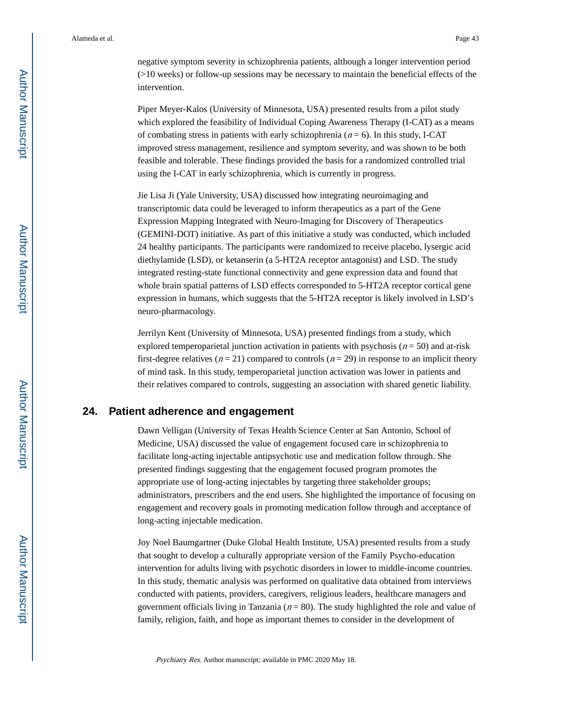negative symptom severity in schizophrenia patients, although a longer intervention period (>10 weeks) or follow-up sessions may be necessary to maintain the beneficial effects of the intervention.

Piper Meyer-Kalos (University of Minnesota, USA) presented results from a pilot study which explored the feasibility of Individual Coping Awareness Therapy (I-CAT) as a means of combating stress in patients with early schizophrenia ( $n = 6$ ). In this study, I-CAT improved stress management, resilience and symptom severity, and was shown to be both feasible and tolerable. These findings provided the basis for a randomized controlled trial using the I-CAT in early schizophrenia, which is currently in progress.

Jie Lisa Ji (Yale University, USA) discussed how integrating neuroimaging and transcriptomic data could be leveraged to inform therapeutics as a part of the Gene Expression Mapping Integrated with Neuro-Imaging for Discovery of Therapeutics (GEMINI-DOT) initiative. As part of this initiative a study was conducted, which included 24 healthy participants. The participants were randomized to receive placebo, lysergic acid diethylamide (LSD), or ketanserin (a 5-HT2A receptor antagonist) and LSD. The study integrated resting-state functional connectivity and gene expression data and found that whole brain spatial patterns of LSD effects corresponded to 5-HT2A receptor cortical gene expression in humans, which suggests that the 5-HT2A receptor is likely involved in LSD's neuro-pharmacology.

Jerrilyn Kent (University of Minnesota, USA) presented findings from a study, which explored temperoparietal junction activation in patients with psychosis ( $n = 50$ ) and at-risk first-degree relatives ( $n = 21$ ) compared to controls ( $n = 29$ ) in response to an implicit theory of mind task. In this study, temperoparietal junction activation was lower in patients and their relatives compared to controls, suggesting an association with shared genetic liability.

#### **24. Patient adherence and engagement**

Dawn Velligan (University of Texas Health Science Center at San Antonio, School of Medicine, USA) discussed the value of engagement focused care in schizophrenia to facilitate long-acting injectable antipsychotic use and medication follow through. She presented findings suggesting that the engagement focused program promotes the appropriate use of long-acting injectables by targeting three stakeholder groups; administrators, prescribers and the end users. She highlighted the importance of focusing on engagement and recovery goals in promoting medication follow through and acceptance of long-acting injectable medication.

Joy Noel Baumgartner (Duke Global Health Institute, USA) presented results from a study that sought to develop a culturally appropriate version of the Family Psycho-education intervention for adults living with psychotic disorders in lower to middle-income countries. In this study, thematic analysis was performed on qualitative data obtained from interviews conducted with patients, providers, caregivers, religious leaders, healthcare managers and government officials living in Tanzania ( $n = 80$ ). The study highlighted the role and value of family, religion, faith, and hope as important themes to consider in the development of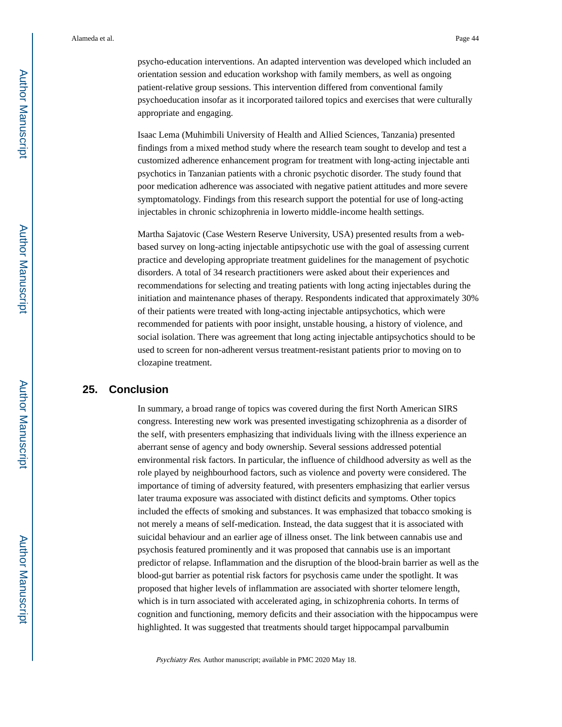psycho-education interventions. An adapted intervention was developed which included an orientation session and education workshop with family members, as well as ongoing patient-relative group sessions. This intervention differed from conventional family psychoeducation insofar as it incorporated tailored topics and exercises that were culturally appropriate and engaging.

Isaac Lema (Muhimbili University of Health and Allied Sciences, Tanzania) presented findings from a mixed method study where the research team sought to develop and test a customized adherence enhancement program for treatment with long-acting injectable anti psychotics in Tanzanian patients with a chronic psychotic disorder. The study found that poor medication adherence was associated with negative patient attitudes and more severe symptomatology. Findings from this research support the potential for use of long-acting injectables in chronic schizophrenia in lowerto middle-income health settings.

Martha Sajatovic (Case Western Reserve University, USA) presented results from a webbased survey on long-acting injectable antipsychotic use with the goal of assessing current practice and developing appropriate treatment guidelines for the management of psychotic disorders. A total of 34 research practitioners were asked about their experiences and recommendations for selecting and treating patients with long acting injectables during the initiation and maintenance phases of therapy. Respondents indicated that approximately 30% of their patients were treated with long-acting injectable antipsychotics, which were recommended for patients with poor insight, unstable housing, a history of violence, and social isolation. There was agreement that long acting injectable antipsychotics should to be used to screen for non-adherent versus treatment-resistant patients prior to moving on to clozapine treatment.

#### **25. Conclusion**

In summary, a broad range of topics was covered during the first North American SIRS congress. Interesting new work was presented investigating schizophrenia as a disorder of the self, with presenters emphasizing that individuals living with the illness experience an aberrant sense of agency and body ownership. Several sessions addressed potential environmental risk factors. In particular, the influence of childhood adversity as well as the role played by neighbourhood factors, such as violence and poverty were considered. The importance of timing of adversity featured, with presenters emphasizing that earlier versus later trauma exposure was associated with distinct deficits and symptoms. Other topics included the effects of smoking and substances. It was emphasized that tobacco smoking is not merely a means of self-medication. Instead, the data suggest that it is associated with suicidal behaviour and an earlier age of illness onset. The link between cannabis use and psychosis featured prominently and it was proposed that cannabis use is an important predictor of relapse. Inflammation and the disruption of the blood-brain barrier as well as the blood-gut barrier as potential risk factors for psychosis came under the spotlight. It was proposed that higher levels of inflammation are associated with shorter telomere length, which is in turn associated with accelerated aging, in schizophrenia cohorts. In terms of cognition and functioning, memory deficits and their association with the hippocampus were highlighted. It was suggested that treatments should target hippocampal parvalbumin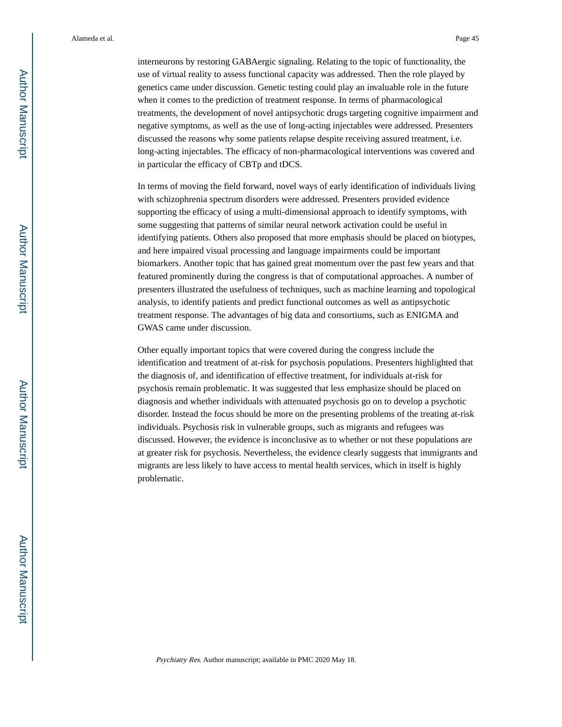interneurons by restoring GABAergic signaling. Relating to the topic of functionality, the use of virtual reality to assess functional capacity was addressed. Then the role played by genetics came under discussion. Genetic testing could play an invaluable role in the future when it comes to the prediction of treatment response. In terms of pharmacological treatments, the development of novel antipsychotic drugs targeting cognitive impairment and negative symptoms, as well as the use of long-acting injectables were addressed. Presenters discussed the reasons why some patients relapse despite receiving assured treatment, i.e. long-acting injectables. The efficacy of non-pharmacological interventions was covered and in particular the efficacy of CBTp and tDCS.

In terms of moving the field forward, novel ways of early identification of individuals living with schizophrenia spectrum disorders were addressed. Presenters provided evidence supporting the efficacy of using a multi-dimensional approach to identify symptoms, with some suggesting that patterns of similar neural network activation could be useful in identifying patients. Others also proposed that more emphasis should be placed on biotypes, and here impaired visual processing and language impairments could be important biomarkers. Another topic that has gained great momentum over the past few years and that featured prominently during the congress is that of computational approaches. A number of presenters illustrated the usefulness of techniques, such as machine learning and topological analysis, to identify patients and predict functional outcomes as well as antipsychotic treatment response. The advantages of big data and consortiums, such as ENIGMA and GWAS came under discussion.

Other equally important topics that were covered during the congress include the identification and treatment of at-risk for psychosis populations. Presenters highlighted that the diagnosis of, and identification of effective treatment, for individuals at-risk for psychosis remain problematic. It was suggested that less emphasize should be placed on diagnosis and whether individuals with attenuated psychosis go on to develop a psychotic disorder. Instead the focus should be more on the presenting problems of the treating at-risk individuals. Psychosis risk in vulnerable groups, such as migrants and refugees was discussed. However, the evidence is inconclusive as to whether or not these populations are at greater risk for psychosis. Nevertheless, the evidence clearly suggests that immigrants and migrants are less likely to have access to mental health services, which in itself is highly problematic.